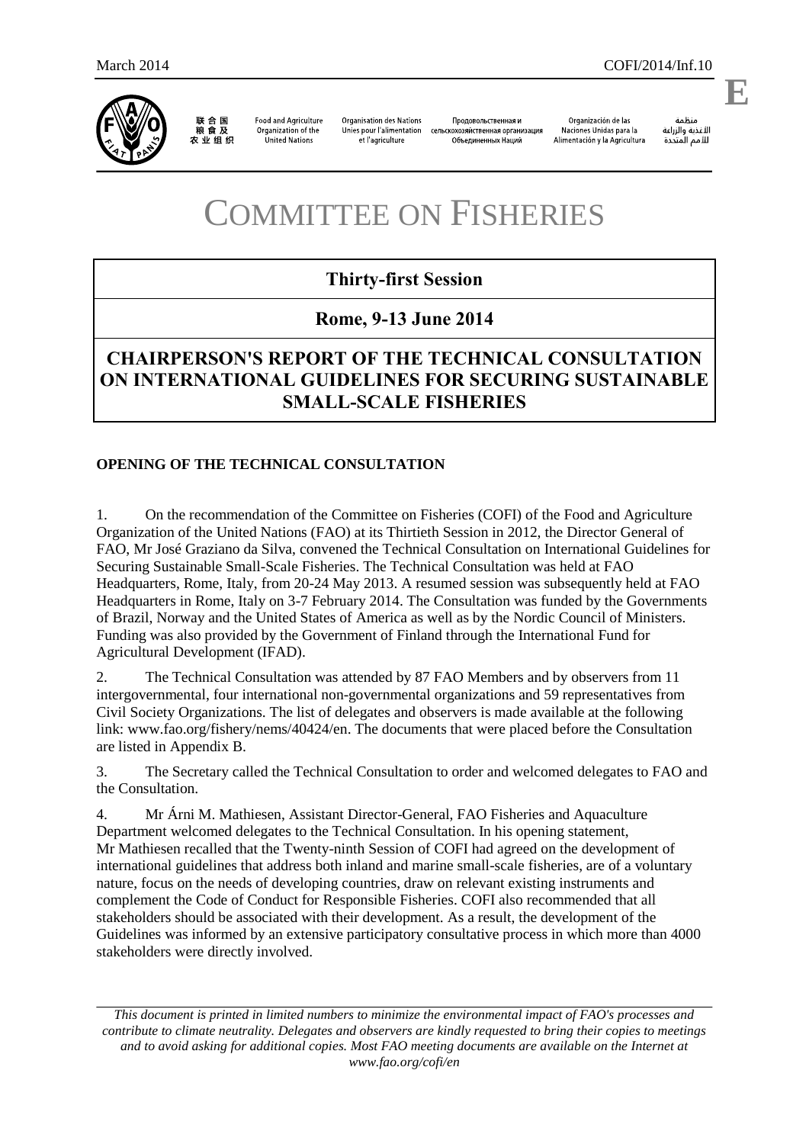

联合国<br>粮食及 农业组织

**Food and Agriculture** Organization of the United Nations

**Organisation des Nations** Unies pour l'alimentation et l'agriculture

Продовольственная и Объединенных Наций

Organización de las

änhin الأغذية والزراعة للأمم المتحدة

.

**E**

#### Naciones Unidas para la сельскохозяйственная организация Alimentación y la Agricultura

# COMMITTEE ON FISHERIES

# **Thirty-first Session**

# **Rome, 9-13 June 2014**

# **CHAIRPERSON'S REPORT OF THE TECHNICAL CONSULTATION ON INTERNATIONAL GUIDELINES FOR SECURING SUSTAINABLE SMALL-SCALE FISHERIES**

# **OPENING OF THE TECHNICAL CONSULTATION**

1. On the recommendation of the Committee on Fisheries (COFI) of the Food and Agriculture Organization of the United Nations (FAO) at its Thirtieth Session in 2012, the Director General of FAO, Mr José Graziano da Silva, convened the Technical Consultation on International Guidelines for Securing Sustainable Small-Scale Fisheries. The Technical Consultation was held at FAO Headquarters, Rome, Italy, from 20-24 May 2013. A resumed session was subsequently held at FAO Headquarters in Rome, Italy on 3-7 February 2014. The Consultation was funded by the Governments of Brazil, Norway and the United States of America as well as by the Nordic Council of Ministers. Funding was also provided by the Government of Finland through the International Fund for Agricultural Development (IFAD).

2. The Technical Consultation was attended by 87 FAO Members and by observers from 11 intergovernmental, four international non-governmental organizations and 59 representatives from Civil Society Organizations. The list of delegates and observers is made available at the following link: www.fao.org/fishery/nems/40424/en. The documents that were placed before the Consultation are listed in Appendix B.

3. The Secretary called the Technical Consultation to order and welcomed delegates to FAO and the Consultation.

4. Mr Árni M. Mathiesen, Assistant Director-General, FAO Fisheries and Aquaculture Department welcomed delegates to the Technical Consultation. In his opening statement, Mr Mathiesen recalled that the Twenty-ninth Session of COFI had agreed on the development of international guidelines that address both inland and marine small-scale fisheries, are of a voluntary nature, focus on the needs of developing countries, draw on relevant existing instruments and complement the Code of Conduct for Responsible Fisheries. COFI also recommended that all stakeholders should be associated with their development. As a result, the development of the Guidelines was informed by an extensive participatory consultative process in which more than 4000 stakeholders were directly involved.

*This document is printed in limited numbers to minimize the environmental impact of FAO's processes and contribute to climate neutrality. Delegates and observers are kindly requested to bring their copies to meetings and to avoid asking for additional copies. Most FAO meeting documents are available on the Internet at www.fao.org/cofi/en*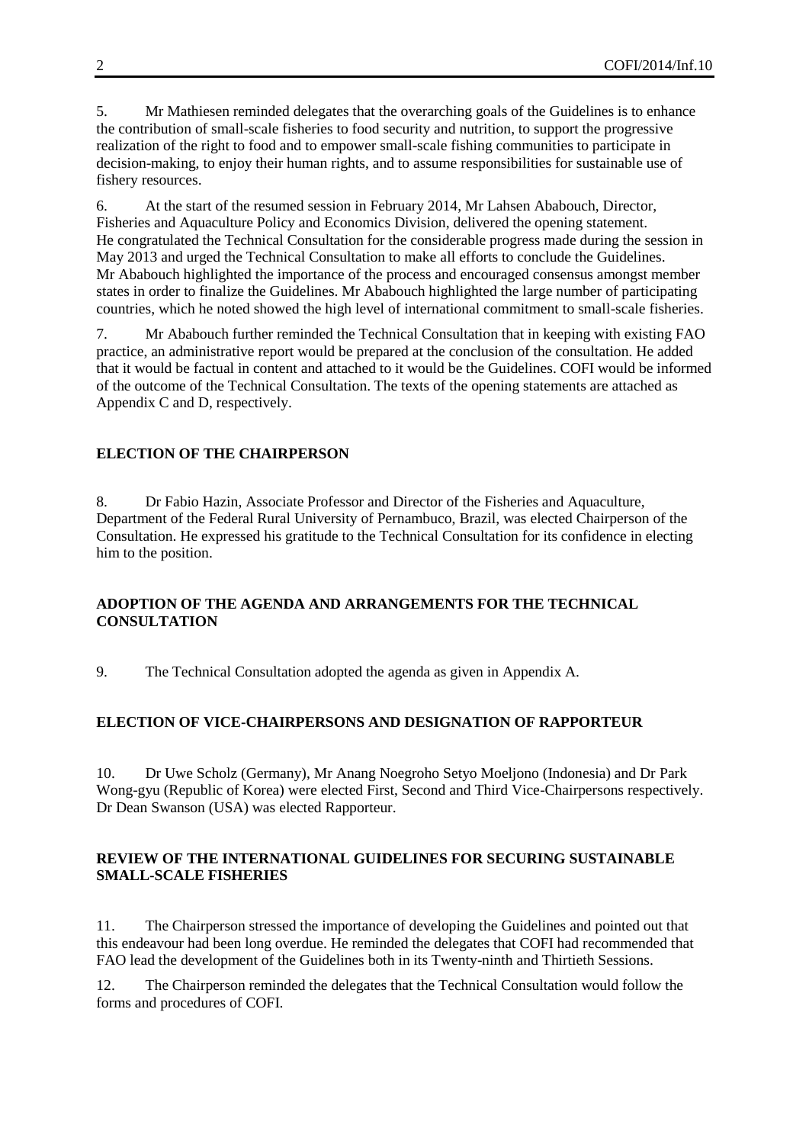5. Mr Mathiesen reminded delegates that the overarching goals of the Guidelines is to enhance the contribution of small-scale fisheries to food security and nutrition, to support the progressive realization of the right to food and to empower small-scale fishing communities to participate in decision-making, to enjoy their human rights, and to assume responsibilities for sustainable use of fishery resources.

6. At the start of the resumed session in February 2014, Mr Lahsen Ababouch, Director, Fisheries and Aquaculture Policy and Economics Division, delivered the opening statement. He congratulated the Technical Consultation for the considerable progress made during the session in May 2013 and urged the Technical Consultation to make all efforts to conclude the Guidelines. Mr Ababouch highlighted the importance of the process and encouraged consensus amongst member states in order to finalize the Guidelines. Mr Ababouch highlighted the large number of participating countries, which he noted showed the high level of international commitment to small-scale fisheries.

7. Mr Ababouch further reminded the Technical Consultation that in keeping with existing FAO practice, an administrative report would be prepared at the conclusion of the consultation. He added that it would be factual in content and attached to it would be the Guidelines. COFI would be informed of the outcome of the Technical Consultation. The texts of the opening statements are attached as Appendix C and D, respectively.

# **ELECTION OF THE CHAIRPERSON**

8. Dr Fabio Hazin, Associate Professor and Director of the Fisheries and Aquaculture, Department of the Federal Rural University of Pernambuco, Brazil, was elected Chairperson of the Consultation. He expressed his gratitude to the Technical Consultation for its confidence in electing him to the position.

### **ADOPTION OF THE AGENDA AND ARRANGEMENTS FOR THE TECHNICAL CONSULTATION**

9. The Technical Consultation adopted the agenda as given in Appendix A.

### **ELECTION OF VICE-CHAIRPERSONS AND DESIGNATION OF RAPPORTEUR**

10. Dr Uwe Scholz (Germany), Mr Anang Noegroho Setyo Moeljono (Indonesia) and Dr Park Wong-gyu (Republic of Korea) were elected First, Second and Third Vice-Chairpersons respectively. Dr Dean Swanson (USA) was elected Rapporteur.

### **REVIEW OF THE INTERNATIONAL GUIDELINES FOR SECURING SUSTAINABLE SMALL-SCALE FISHERIES**

11. The Chairperson stressed the importance of developing the Guidelines and pointed out that this endeavour had been long overdue. He reminded the delegates that COFI had recommended that FAO lead the development of the Guidelines both in its Twenty-ninth and Thirtieth Sessions.

12. The Chairperson reminded the delegates that the Technical Consultation would follow the forms and procedures of COFI.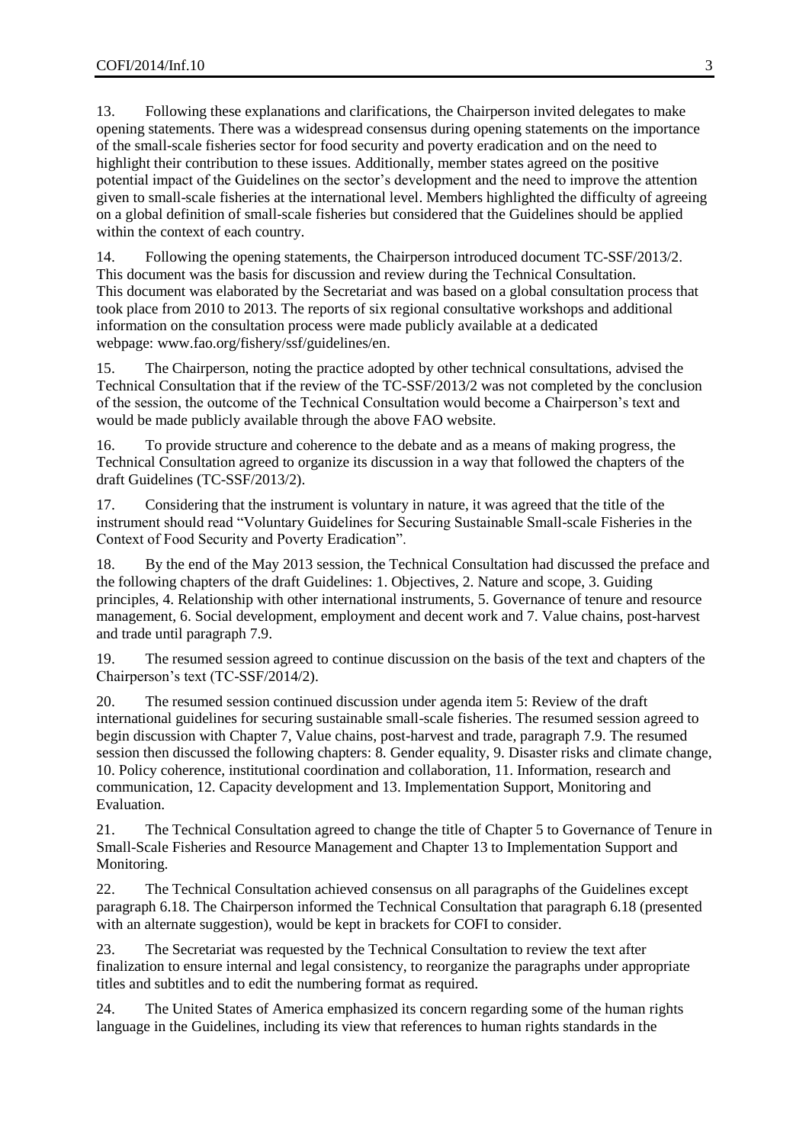13. Following these explanations and clarifications, the Chairperson invited delegates to make opening statements. There was a widespread consensus during opening statements on the importance of the small-scale fisheries sector for food security and poverty eradication and on the need to highlight their contribution to these issues. Additionally, member states agreed on the positive potential impact of the Guidelines on the sector's development and the need to improve the attention given to small-scale fisheries at the international level. Members highlighted the difficulty of agreeing on a global definition of small-scale fisheries but considered that the Guidelines should be applied within the context of each country.

14. Following the opening statements, the Chairperson introduced document TC-SSF/2013/2. This document was the basis for discussion and review during the Technical Consultation. This document was elaborated by the Secretariat and was based on a global consultation process that took place from 2010 to 2013. The reports of six regional consultative workshops and additional information on the consultation process were made publicly available at a dedicated webpage: [www.fao.org/fishery/ssf/guidelines/en.](file:///C:/Users/Fuentevilla/AppData/Local/Microsoft/Windows/Temporary%20Internet%20Files/Content.Outlook/JXTSOF3I/www.fao.org/fishery/ssf/guidelines/en)

15. The Chairperson, noting the practice adopted by other technical consultations, advised the Technical Consultation that if the review of the TC-SSF/2013/2 was not completed by the conclusion of the session, the outcome of the Technical Consultation would become a Chairperson's text and would be made publicly available through the above FAO website.

16. To provide structure and coherence to the debate and as a means of making progress, the Technical Consultation agreed to organize its discussion in a way that followed the chapters of the draft Guidelines (TC-SSF/2013/2).

17. Considering that the instrument is voluntary in nature, it was agreed that the title of the instrument should read "Voluntary Guidelines for Securing Sustainable Small-scale Fisheries in the Context of Food Security and Poverty Eradication".

18. By the end of the May 2013 session, the Technical Consultation had discussed the preface and the following chapters of the draft Guidelines: 1. Objectives, 2. Nature and scope, 3. Guiding principles, 4. Relationship with other international instruments, 5. Governance of tenure and resource management, 6. Social development, employment and decent work and 7. Value chains, post-harvest and trade until paragraph 7.9.

19. The resumed session agreed to continue discussion on the basis of the text and chapters of the Chairperson's text (TC-SSF/2014/2).

20. The resumed session continued discussion under agenda item 5: Review of the draft international guidelines for securing sustainable small-scale fisheries. The resumed session agreed to begin discussion with Chapter 7, Value chains, post-harvest and trade, paragraph 7.9. The resumed session then discussed the following chapters: 8. Gender equality, 9. Disaster risks and climate change, 10. Policy coherence, institutional coordination and collaboration, 11. Information, research and communication, 12. Capacity development and 13. Implementation Support, Monitoring and Evaluation.

21. The Technical Consultation agreed to change the title of Chapter 5 to Governance of Tenure in Small-Scale Fisheries and Resource Management and Chapter 13 to Implementation Support and Monitoring.

22. The Technical Consultation achieved consensus on all paragraphs of the Guidelines except paragraph 6.18. The Chairperson informed the Technical Consultation that paragraph 6.18 (presented with an alternate suggestion), would be kept in brackets for COFI to consider.

23. The Secretariat was requested by the Technical Consultation to review the text after finalization to ensure internal and legal consistency, to reorganize the paragraphs under appropriate titles and subtitles and to edit the numbering format as required.

24. The United States of America emphasized its concern regarding some of the human rights language in the Guidelines, including its view that references to human rights standards in the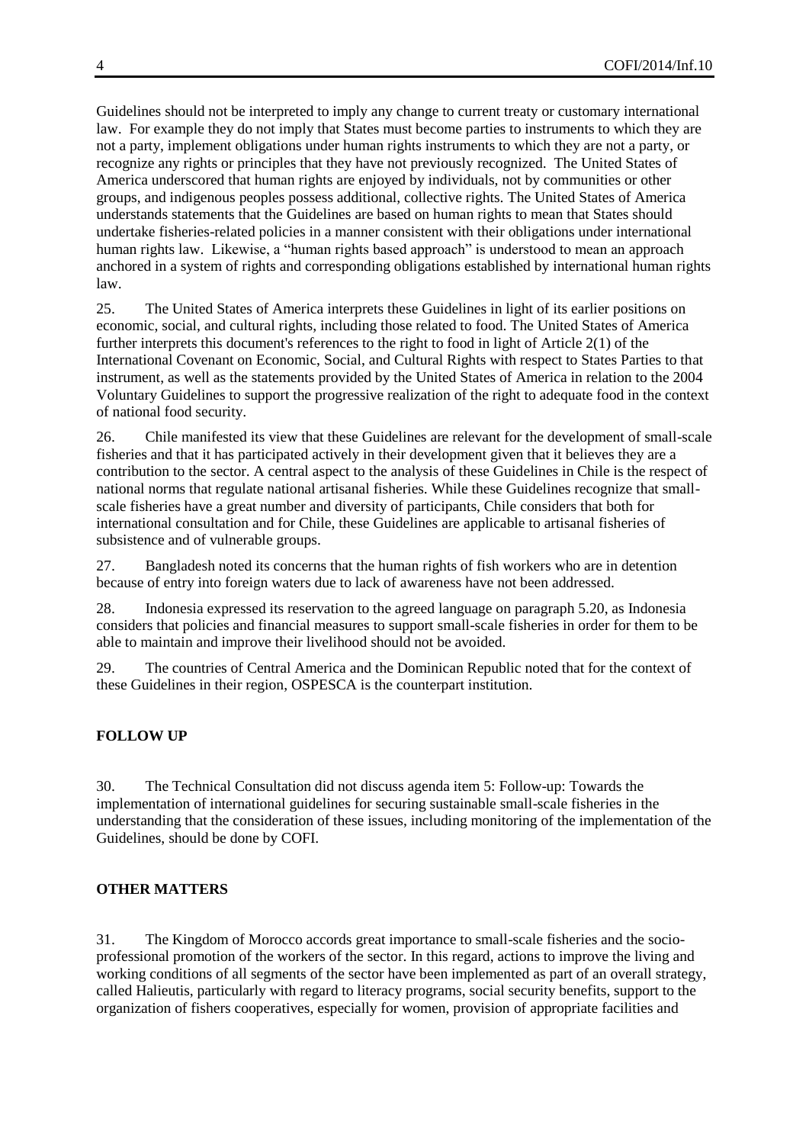Guidelines should not be interpreted to imply any change to current treaty or customary international law. For example they do not imply that States must become parties to instruments to which they are not a party, implement obligations under human rights instruments to which they are not a party, or recognize any rights or principles that they have not previously recognized. The United States of America underscored that human rights are enjoyed by individuals, not by communities or other groups, and indigenous peoples possess additional, collective rights. The United States of America understands statements that the Guidelines are based on human rights to mean that States should undertake fisheries-related policies in a manner consistent with their obligations under international human rights law. Likewise, a "human rights based approach" is understood to mean an approach anchored in a system of rights and corresponding obligations established by international human rights law.

25. The United States of America interprets these Guidelines in light of its earlier positions on economic, social, and cultural rights, including those related to food. The United States of America further interprets this document's references to the right to food in light of Article 2(1) of the International Covenant on Economic, Social, and Cultural Rights with respect to States Parties to that instrument, as well as the statements provided by the United States of America in relation to the 2004 Voluntary Guidelines to support the progressive realization of the right to adequate food in the context of national food security.

26. Chile manifested its view that these Guidelines are relevant for the development of small-scale fisheries and that it has participated actively in their development given that it believes they are a contribution to the sector. A central aspect to the analysis of these Guidelines in Chile is the respect of national norms that regulate national artisanal fisheries. While these Guidelines recognize that smallscale fisheries have a great number and diversity of participants, Chile considers that both for international consultation and for Chile, these Guidelines are applicable to artisanal fisheries of subsistence and of vulnerable groups.

27. Bangladesh noted its concerns that the human rights of fish workers who are in detention because of entry into foreign waters due to lack of awareness have not been addressed.

28. Indonesia expressed its reservation to the agreed language on paragraph 5.20, as Indonesia considers that policies and financial measures to support small-scale fisheries in order for them to be able to maintain and improve their livelihood should not be avoided.

29. The countries of Central America and the Dominican Republic noted that for the context of these Guidelines in their region, OSPESCA is the counterpart institution.

### **FOLLOW UP**

30. The Technical Consultation did not discuss agenda item 5: Follow-up: Towards the implementation of international guidelines for securing sustainable small-scale fisheries in the understanding that the consideration of these issues, including monitoring of the implementation of the Guidelines, should be done by COFI.

### **OTHER MATTERS**

31. The Kingdom of Morocco accords great importance to small-scale fisheries and the socioprofessional promotion of the workers of the sector. In this regard, actions to improve the living and working conditions of all segments of the sector have been implemented as part of an overall strategy, called Halieutis, particularly with regard to literacy programs, social security benefits, support to the organization of fishers cooperatives, especially for women, provision of appropriate facilities and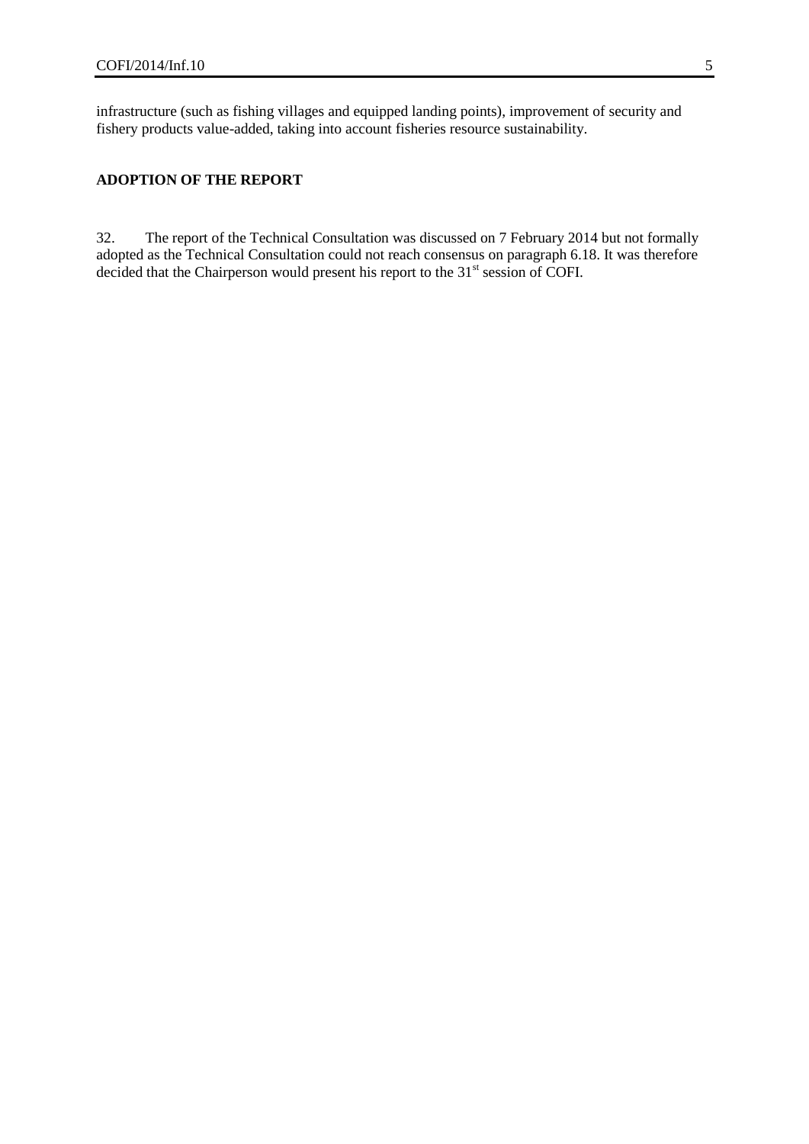infrastructure (such as fishing villages and equipped landing points), improvement of security and fishery products value-added, taking into account fisheries resource sustainability.

### **ADOPTION OF THE REPORT**

32. The report of the Technical Consultation was discussed on 7 February 2014 but not formally adopted as the Technical Consultation could not reach consensus on paragraph 6.18. It was therefore decided that the Chairperson would present his report to the 31<sup>st</sup> session of COFI.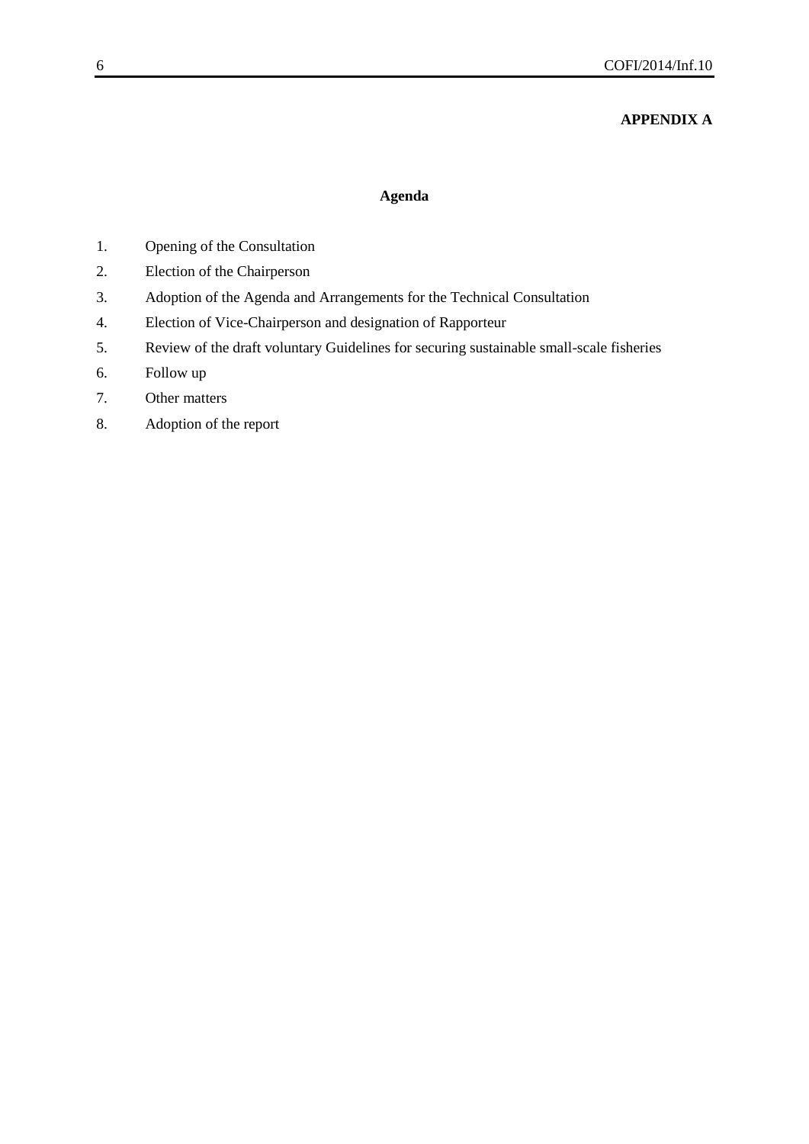# **APPENDIX A**

### **Agenda**

- 1. Opening of the Consultation
- 2. Election of the Chairperson
- 3. Adoption of the Agenda and Arrangements for the Technical Consultation
- 4. Election of Vice-Chairperson and designation of Rapporteur
- 5. Review of the draft voluntary Guidelines for securing sustainable small-scale fisheries
- 6. Follow up
- 7. Other matters
- 8. Adoption of the report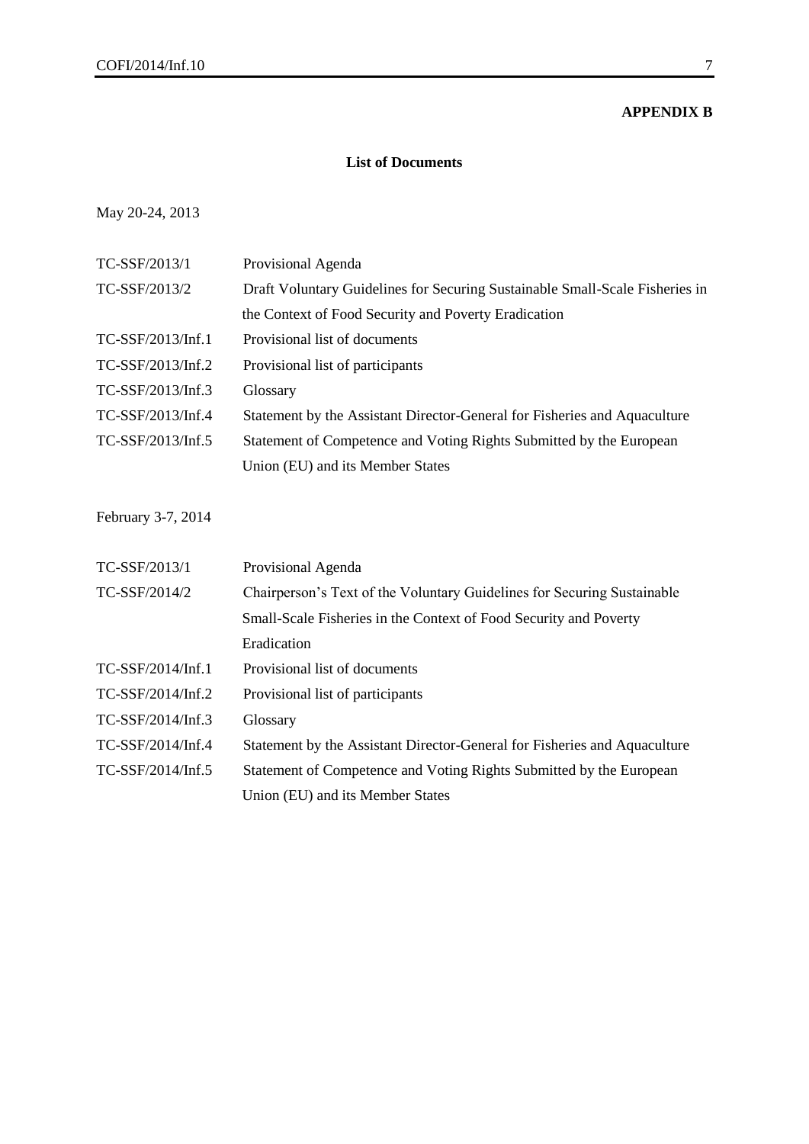### **APPENDIX B**

### **List of Documents**

# May 20-24, 2013

| TC-SSF/2013/1      | Provisional Agenda                                                           |
|--------------------|------------------------------------------------------------------------------|
| TC-SSF/2013/2      | Draft Voluntary Guidelines for Securing Sustainable Small-Scale Fisheries in |
|                    | the Context of Food Security and Poverty Eradication                         |
| TC-SSF/2013/Inf.1  | Provisional list of documents                                                |
| TC-SSF/2013/Inf.2  | Provisional list of participants                                             |
| TC-SSF/2013/Inf.3  | Glossary                                                                     |
| TC-SSF/2013/Inf.4  | Statement by the Assistant Director-General for Fisheries and Aquaculture    |
| TC-SSF/2013/Inf.5  | Statement of Competence and Voting Rights Submitted by the European          |
|                    | Union (EU) and its Member States                                             |
|                    |                                                                              |
| February 3-7, 2014 |                                                                              |
|                    |                                                                              |
| TC-SSF/2013/1      | Provisional Agenda                                                           |
| TC-SSF/2014/2      | Chairperson's Text of the Voluntary Guidelines for Securing Sustainable      |
|                    | Small-Scale Fisheries in the Context of Food Security and Poverty            |
|                    | Eradication                                                                  |
| TC-SSF/2014/Inf.1  | Provisional list of documents                                                |
| TC-SSF/2014/Inf.2  | Provisional list of participants                                             |
| TC-SSF/2014/Inf.3  | Glossary                                                                     |
| TC-SSF/2014/Inf.4  | Statement by the Assistant Director-General for Fisheries and Aquaculture    |
| TC-SSF/2014/Inf.5  | Statement of Competence and Voting Rights Submitted by the European          |
|                    | Union (EU) and its Member States                                             |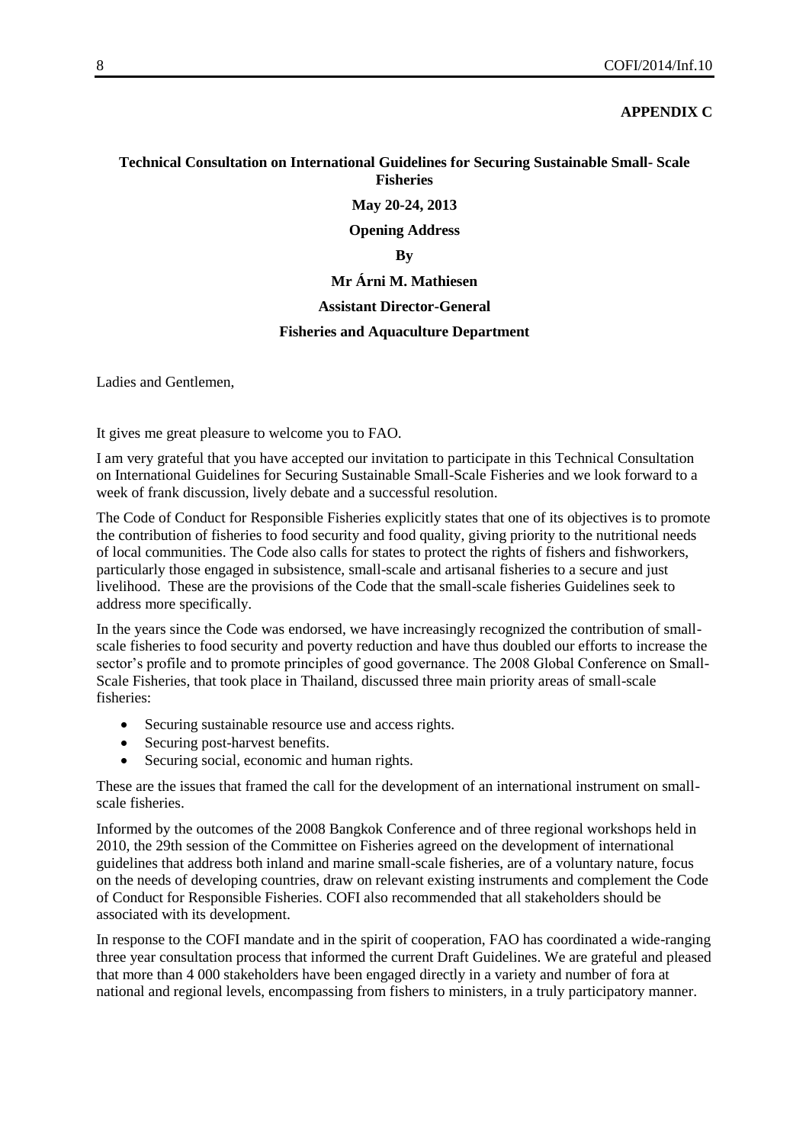### **APPENDIX C**

### **Technical Consultation on International Guidelines for Securing Sustainable Small- Scale Fisheries**

**May 20-24, 2013**

**Opening Address**

**By**

# **Mr Árni M. Mathiesen**

### **Assistant Director-General**

### **Fisheries and Aquaculture Department**

Ladies and Gentlemen,

It gives me great pleasure to welcome you to FAO.

I am very grateful that you have accepted our invitation to participate in this Technical Consultation on International Guidelines for Securing Sustainable Small-Scale Fisheries and we look forward to a week of frank discussion, lively debate and a successful resolution.

The Code of Conduct for Responsible Fisheries explicitly states that one of its objectives is to promote the contribution of fisheries to food security and food quality, giving priority to the nutritional needs of local communities. The Code also calls for states to protect the rights of fishers and fishworkers, particularly those engaged in subsistence, small-scale and artisanal fisheries to a secure and just livelihood. These are the provisions of the Code that the small-scale fisheries Guidelines seek to address more specifically.

In the years since the Code was endorsed, we have increasingly recognized the contribution of smallscale fisheries to food security and poverty reduction and have thus doubled our efforts to increase the sector's profile and to promote principles of good governance. The 2008 Global Conference on Small-Scale Fisheries, that took place in Thailand, discussed three main priority areas of small-scale fisheries:

- Securing sustainable resource use and access rights.
- Securing post-harvest benefits.
- Securing social, economic and human rights.

These are the issues that framed the call for the development of an international instrument on smallscale fisheries.

Informed by the outcomes of the 2008 Bangkok Conference and of three regional workshops held in 2010, the 29th session of the Committee on Fisheries agreed on the development of international guidelines that address both inland and marine small-scale fisheries, are of a voluntary nature, focus on the needs of developing countries, draw on relevant existing instruments and complement the Code of Conduct for Responsible Fisheries. COFI also recommended that all stakeholders should be associated with its development.

In response to the COFI mandate and in the spirit of cooperation, FAO has coordinated a wide-ranging three year consultation process that informed the current Draft Guidelines. We are grateful and pleased that more than 4 000 stakeholders have been engaged directly in a variety and number of fora at national and regional levels, encompassing from fishers to ministers, in a truly participatory manner.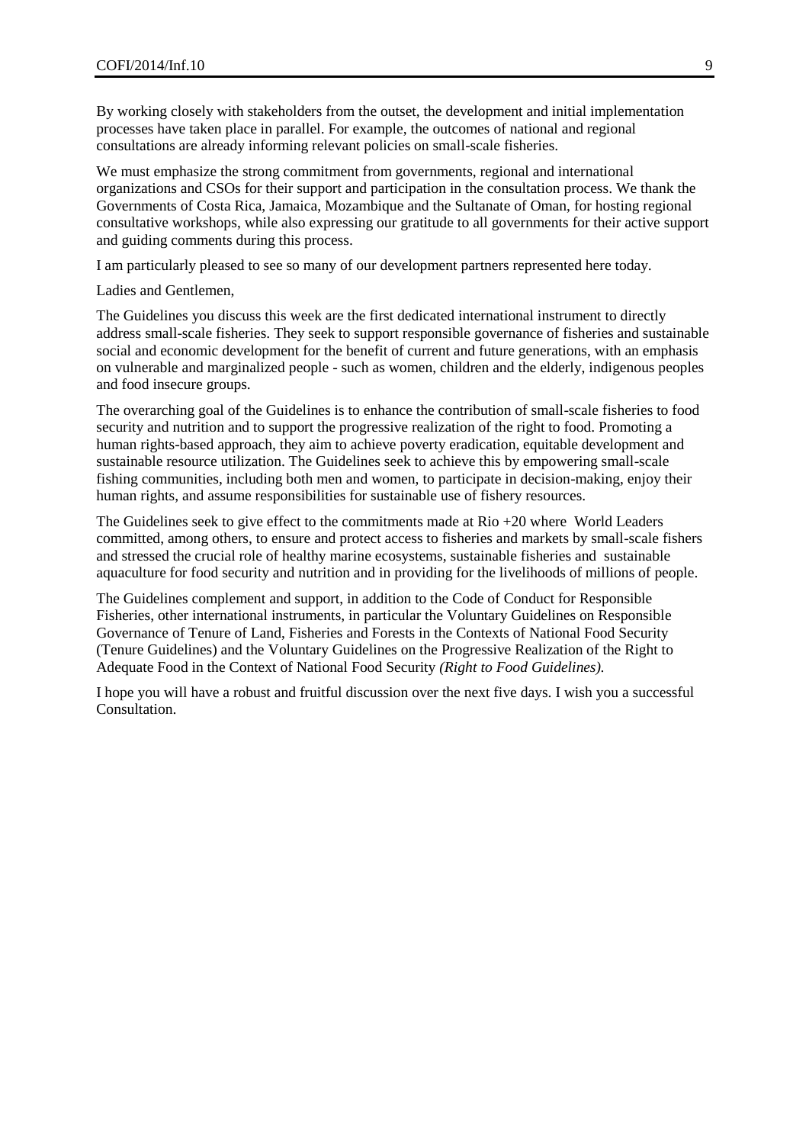By working closely with stakeholders from the outset, the development and initial implementation processes have taken place in parallel. For example, the outcomes of national and regional consultations are already informing relevant policies on small-scale fisheries.

We must emphasize the strong commitment from governments, regional and international organizations and CSOs for their support and participation in the consultation process. We thank the Governments of Costa Rica, Jamaica, Mozambique and the Sultanate of Oman, for hosting regional consultative workshops, while also expressing our gratitude to all governments for their active support and guiding comments during this process.

I am particularly pleased to see so many of our development partners represented here today.

Ladies and Gentlemen,

The Guidelines you discuss this week are the first dedicated international instrument to directly address small-scale fisheries. They seek to support responsible governance of fisheries and sustainable social and economic development for the benefit of current and future generations, with an emphasis on vulnerable and marginalized people - such as women, children and the elderly, indigenous peoples and food insecure groups.

The overarching goal of the Guidelines is to enhance the contribution of small-scale fisheries to food security and nutrition and to support the progressive realization of the right to food. Promoting a human rights-based approach, they aim to achieve poverty eradication, equitable development and sustainable resource utilization. The Guidelines seek to achieve this by empowering small-scale fishing communities, including both men and women, to participate in decision-making, enjoy their human rights, and assume responsibilities for sustainable use of fishery resources.

The Guidelines seek to give effect to the commitments made at  $R$ io  $+20$  where World Leaders committed, among others, to ensure and protect access to fisheries and markets by small-scale fishers and stressed the crucial role of healthy marine ecosystems, sustainable fisheries and sustainable aquaculture for food security and nutrition and in providing for the livelihoods of millions of people.

The Guidelines complement and support, in addition to the Code of Conduct for Responsible Fisheries, other international instruments, in particular the Voluntary Guidelines on Responsible Governance of Tenure of Land, Fisheries and Forests in the Contexts of National Food Security (Tenure Guidelines) and the Voluntary Guidelines on the Progressive Realization of the Right to Adequate Food in the Context of National Food Security *(Right to Food Guidelines).*

I hope you will have a robust and fruitful discussion over the next five days. I wish you a successful Consultation.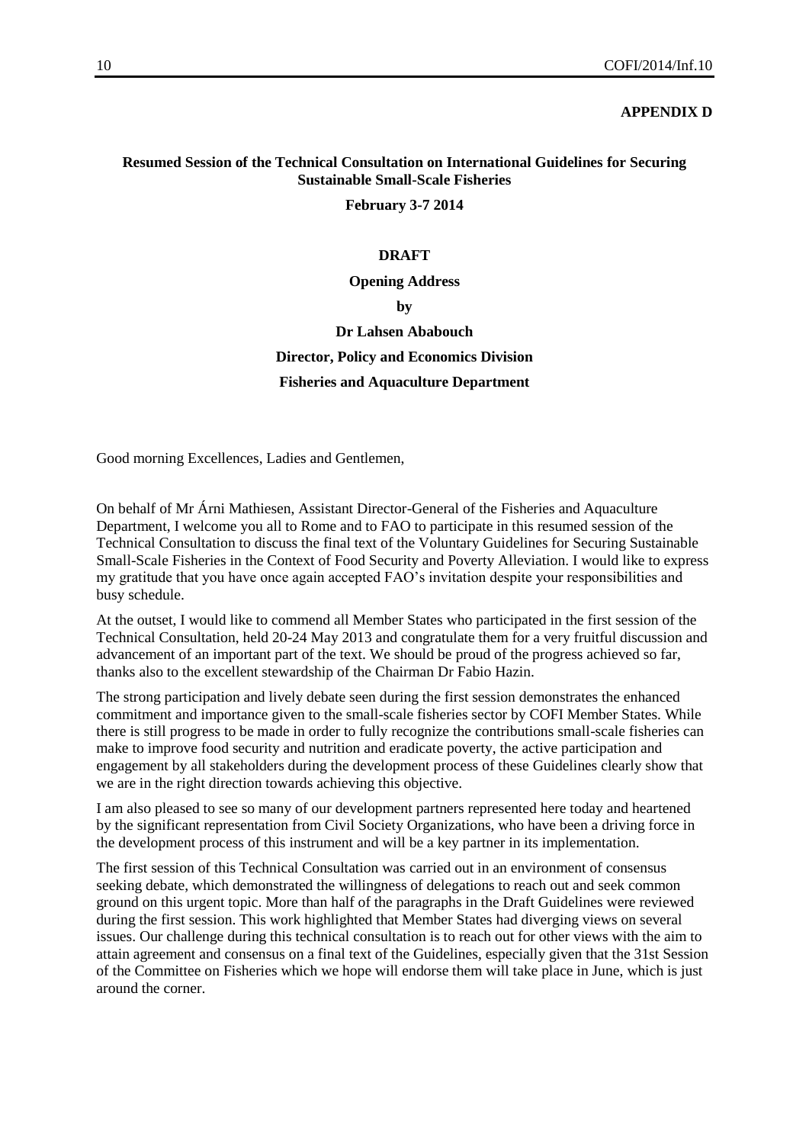### **APPENDIX D**

# **Resumed Session of the Technical Consultation on International Guidelines for Securing Sustainable Small-Scale Fisheries**

#### **February 3-7 2014**

### **DRAFT**

#### **Opening Address**

**by**

# **Dr Lahsen Ababouch Director, Policy and Economics Division Fisheries and Aquaculture Department**

Good morning Excellences, Ladies and Gentlemen,

On behalf of Mr Árni Mathiesen, Assistant Director-General of the Fisheries and Aquaculture Department, I welcome you all to Rome and to FAO to participate in this resumed session of the Technical Consultation to discuss the final text of the Voluntary Guidelines for Securing Sustainable Small-Scale Fisheries in the Context of Food Security and Poverty Alleviation. I would like to express my gratitude that you have once again accepted FAO's invitation despite your responsibilities and busy schedule.

At the outset, I would like to commend all Member States who participated in the first session of the Technical Consultation, held 20-24 May 2013 and congratulate them for a very fruitful discussion and advancement of an important part of the text. We should be proud of the progress achieved so far, thanks also to the excellent stewardship of the Chairman Dr Fabio Hazin.

The strong participation and lively debate seen during the first session demonstrates the enhanced commitment and importance given to the small-scale fisheries sector by COFI Member States. While there is still progress to be made in order to fully recognize the contributions small-scale fisheries can make to improve food security and nutrition and eradicate poverty, the active participation and engagement by all stakeholders during the development process of these Guidelines clearly show that we are in the right direction towards achieving this objective.

I am also pleased to see so many of our development partners represented here today and heartened by the significant representation from Civil Society Organizations, who have been a driving force in the development process of this instrument and will be a key partner in its implementation.

The first session of this Technical Consultation was carried out in an environment of consensus seeking debate, which demonstrated the willingness of delegations to reach out and seek common ground on this urgent topic. More than half of the paragraphs in the Draft Guidelines were reviewed during the first session. This work highlighted that Member States had diverging views on several issues. Our challenge during this technical consultation is to reach out for other views with the aim to attain agreement and consensus on a final text of the Guidelines, especially given that the 31st Session of the Committee on Fisheries which we hope will endorse them will take place in June, which is just around the corner.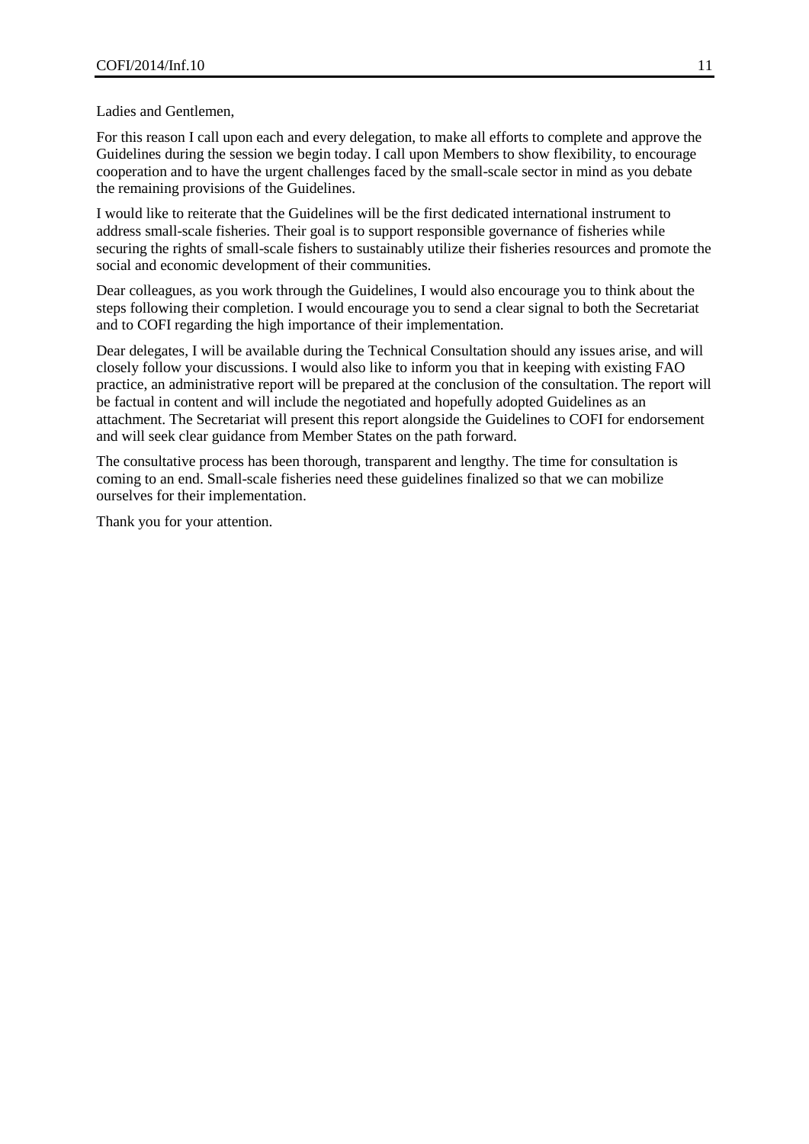Ladies and Gentlemen,

For this reason I call upon each and every delegation, to make all efforts to complete and approve the Guidelines during the session we begin today. I call upon Members to show flexibility, to encourage cooperation and to have the urgent challenges faced by the small-scale sector in mind as you debate the remaining provisions of the Guidelines.

I would like to reiterate that the Guidelines will be the first dedicated international instrument to address small-scale fisheries. Their goal is to support responsible governance of fisheries while securing the rights of small-scale fishers to sustainably utilize their fisheries resources and promote the social and economic development of their communities.

Dear colleagues, as you work through the Guidelines, I would also encourage you to think about the steps following their completion. I would encourage you to send a clear signal to both the Secretariat and to COFI regarding the high importance of their implementation.

Dear delegates, I will be available during the Technical Consultation should any issues arise, and will closely follow your discussions. I would also like to inform you that in keeping with existing FAO practice, an administrative report will be prepared at the conclusion of the consultation. The report will be factual in content and will include the negotiated and hopefully adopted Guidelines as an attachment. The Secretariat will present this report alongside the Guidelines to COFI for endorsement and will seek clear guidance from Member States on the path forward.

The consultative process has been thorough, transparent and lengthy. The time for consultation is coming to an end. Small-scale fisheries need these guidelines finalized so that we can mobilize ourselves for their implementation.

Thank you for your attention.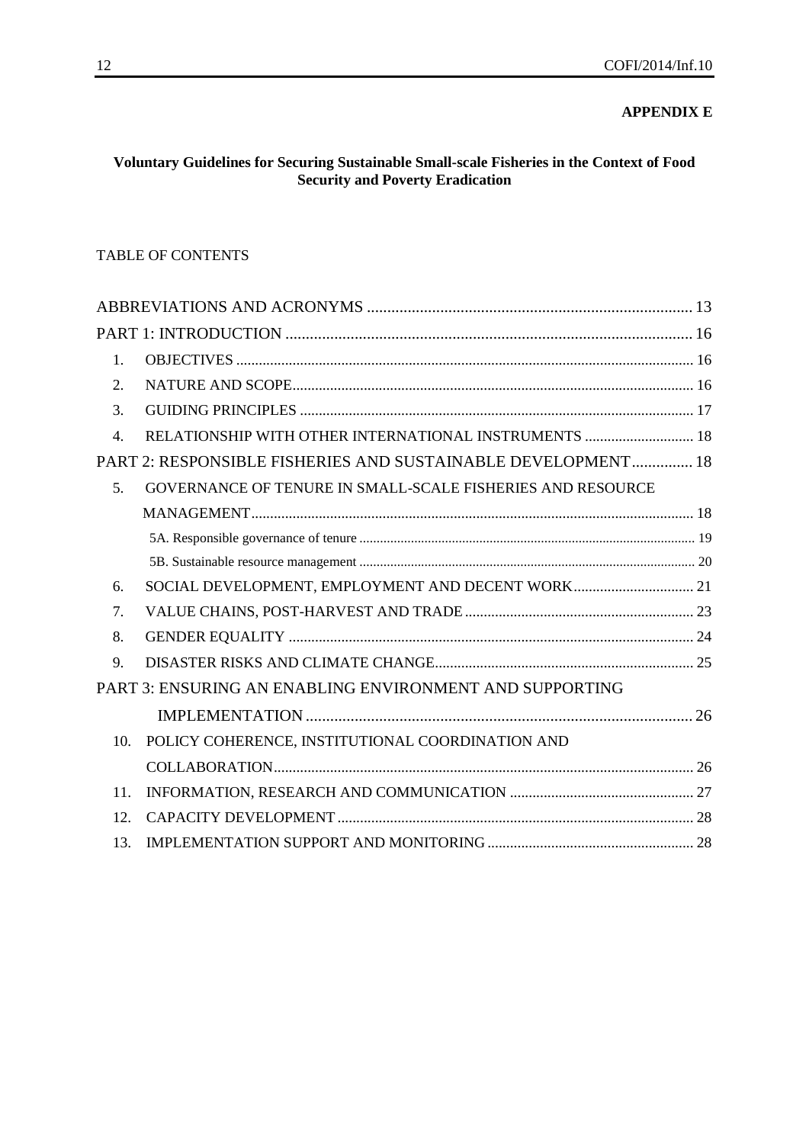# **APPENDIX E**

# **Voluntary Guidelines for Securing Sustainable Small-scale Fisheries in the Context of Food Security and Poverty Eradication**

### TABLE OF CONTENTS

| RELATIONSHIP WITH OTHER INTERNATIONAL INSTRUMENTS  18        |  |
|--------------------------------------------------------------|--|
| PART 2: RESPONSIBLE FISHERIES AND SUSTAINABLE DEVELOPMENT 18 |  |
| GOVERNANCE OF TENURE IN SMALL-SCALE FISHERIES AND RESOURCE   |  |
|                                                              |  |
|                                                              |  |
|                                                              |  |
| SOCIAL DEVELOPMENT, EMPLOYMENT AND DECENT WORK 21            |  |
|                                                              |  |
|                                                              |  |
|                                                              |  |
| PART 3: ENSURING AN ENABLING ENVIRONMENT AND SUPPORTING      |  |
|                                                              |  |
| POLICY COHERENCE, INSTITUTIONAL COORDINATION AND             |  |
|                                                              |  |
|                                                              |  |
|                                                              |  |
|                                                              |  |
|                                                              |  |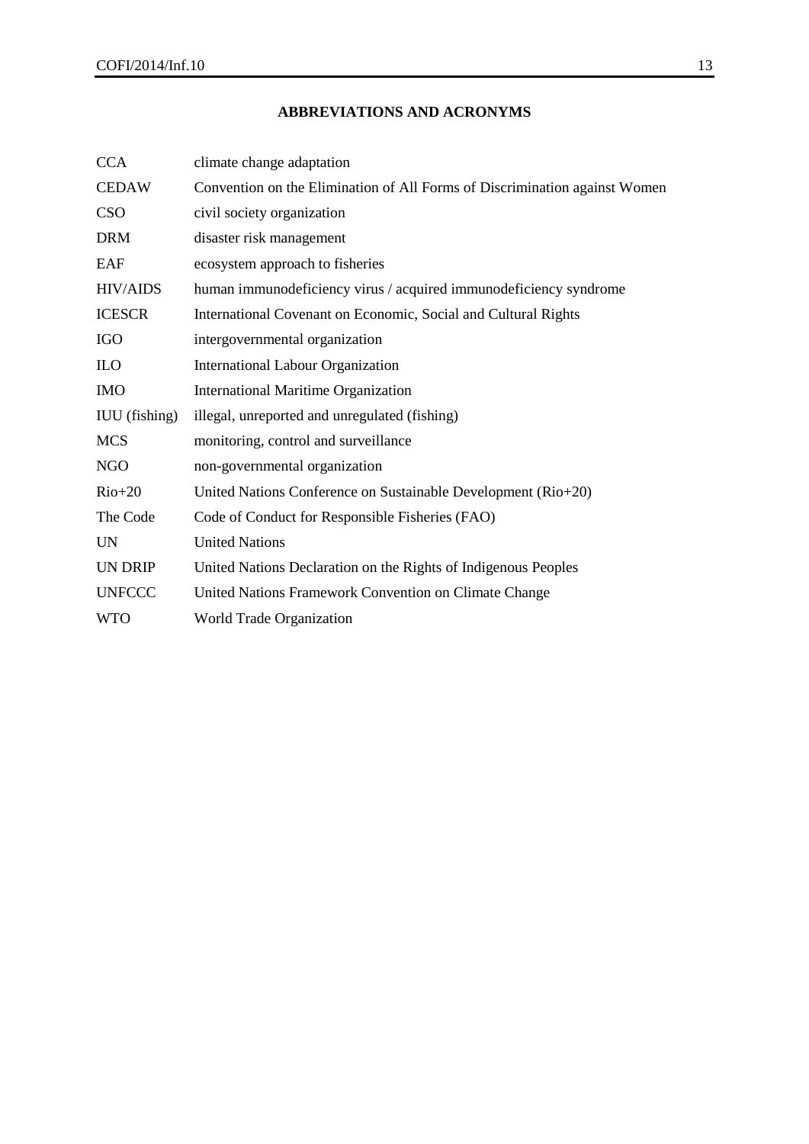# **ABBREVIATIONS AND ACRONYMS**

<span id="page-12-0"></span>

| <b>CCA</b>           | climate change adaptation                                                  |
|----------------------|----------------------------------------------------------------------------|
| <b>CEDAW</b>         | Convention on the Elimination of All Forms of Discrimination against Women |
| <b>CSO</b>           | civil society organization                                                 |
| <b>DRM</b>           | disaster risk management                                                   |
| EAF                  | ecosystem approach to fisheries                                            |
| <b>HIV/AIDS</b>      | human immunodeficiency virus / acquired immunodeficiency syndrome          |
| <b>ICESCR</b>        | International Covenant on Economic, Social and Cultural Rights             |
| <b>IGO</b>           | intergovernmental organization                                             |
| <b>ILO</b>           | <b>International Labour Organization</b>                                   |
| <b>IMO</b>           | <b>International Maritime Organization</b>                                 |
| <b>IUU</b> (fishing) | illegal, unreported and unregulated (fishing)                              |
| <b>MCS</b>           | monitoring, control and surveillance                                       |
| <b>NGO</b>           | non-governmental organization                                              |
| $Rio+20$             | United Nations Conference on Sustainable Development (Rio+20)              |
| The Code             | Code of Conduct for Responsible Fisheries (FAO)                            |
| UN                   | <b>United Nations</b>                                                      |
| <b>UN DRIP</b>       | United Nations Declaration on the Rights of Indigenous Peoples             |
| <b>UNFCCC</b>        | United Nations Framework Convention on Climate Change                      |
| <b>WTO</b>           | World Trade Organization                                                   |
|                      |                                                                            |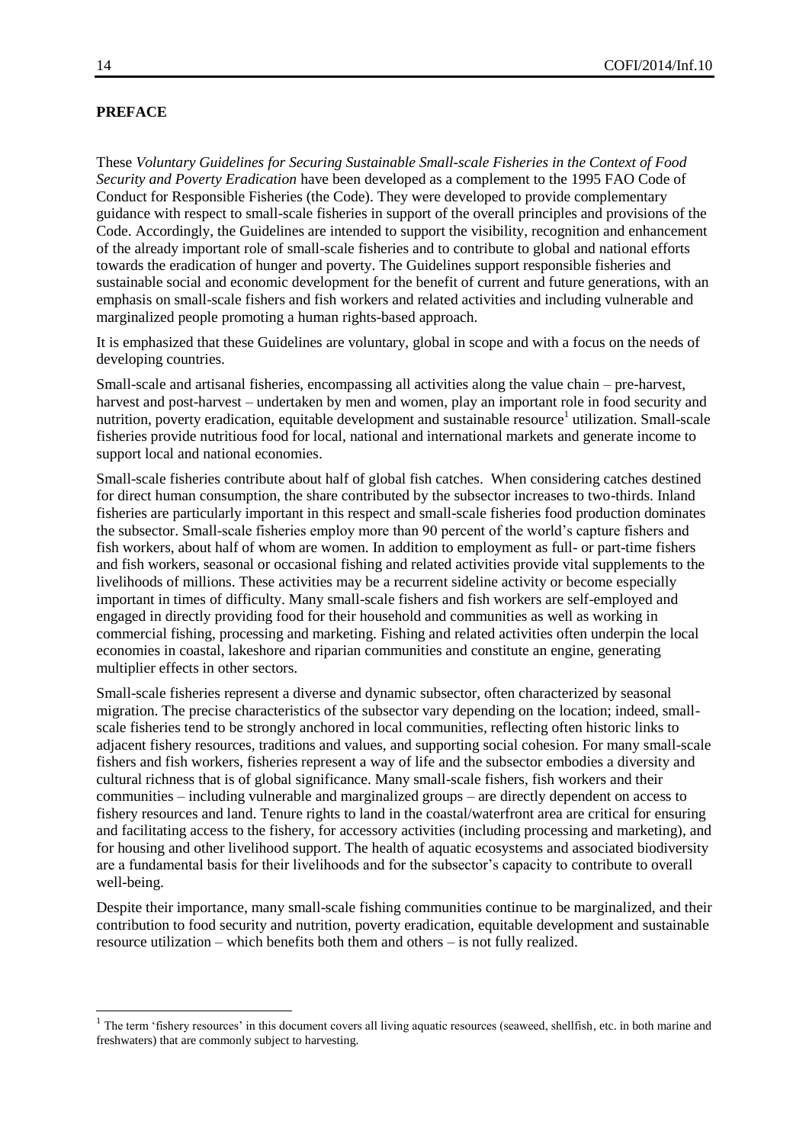### **PREFACE**

These *Voluntary Guidelines for Securing Sustainable Small-scale Fisheries in the Context of Food Security and Poverty Eradication* have been developed as a complement to the 1995 FAO Code of Conduct for Responsible Fisheries (the Code). They were developed to provide complementary guidance with respect to small-scale fisheries in support of the overall principles and provisions of the Code. Accordingly, the Guidelines are intended to support the visibility, recognition and enhancement of the already important role of small-scale fisheries and to contribute to global and national efforts towards the eradication of hunger and poverty. The Guidelines support responsible fisheries and sustainable social and economic development for the benefit of current and future generations, with an emphasis on small-scale fishers and fish workers and related activities and including vulnerable and marginalized people promoting a human rights-based approach.

It is emphasized that these Guidelines are voluntary, global in scope and with a focus on the needs of developing countries.

Small-scale and artisanal fisheries, encompassing all activities along the value chain – pre-harvest, harvest and post-harvest – undertaken by men and women, play an important role in food security and nutrition, poverty eradication, equitable development and sustainable resource<sup>1</sup> utilization. Small-scale fisheries provide nutritious food for local, national and international markets and generate income to support local and national economies.

Small-scale fisheries contribute about half of global fish catches. When considering catches destined for direct human consumption, the share contributed by the subsector increases to two-thirds. Inland fisheries are particularly important in this respect and small-scale fisheries food production dominates the subsector. Small-scale fisheries employ more than 90 percent of the world's capture fishers and fish workers, about half of whom are women. In addition to employment as full- or part-time fishers and fish workers, seasonal or occasional fishing and related activities provide vital supplements to the livelihoods of millions. These activities may be a recurrent sideline activity or become especially important in times of difficulty. Many small-scale fishers and fish workers are self-employed and engaged in directly providing food for their household and communities as well as working in commercial fishing, processing and marketing. Fishing and related activities often underpin the local economies in coastal, lakeshore and riparian communities and constitute an engine, generating multiplier effects in other sectors.

Small-scale fisheries represent a diverse and dynamic subsector, often characterized by seasonal migration. The precise characteristics of the subsector vary depending on the location; indeed, smallscale fisheries tend to be strongly anchored in local communities, reflecting often historic links to adjacent fishery resources, traditions and values, and supporting social cohesion. For many small-scale fishers and fish workers, fisheries represent a way of life and the subsector embodies a diversity and cultural richness that is of global significance. Many small-scale fishers, fish workers and their communities – including vulnerable and marginalized groups – are directly dependent on access to fishery resources and land. Tenure rights to land in the coastal/waterfront area are critical for ensuring and facilitating access to the fishery, for accessory activities (including processing and marketing), and for housing and other livelihood support. The health of aquatic ecosystems and associated biodiversity are a fundamental basis for their livelihoods and for the subsector's capacity to contribute to overall well-being.

Despite their importance, many small-scale fishing communities continue to be marginalized, and their contribution to food security and nutrition, poverty eradication, equitable development and sustainable resource utilization – which benefits both them and others – is not fully realized.

l

 $1$  The term 'fishery resources' in this document covers all living aquatic resources (seaweed, shellfish, etc. in both marine and freshwaters) that are commonly subject to harvesting.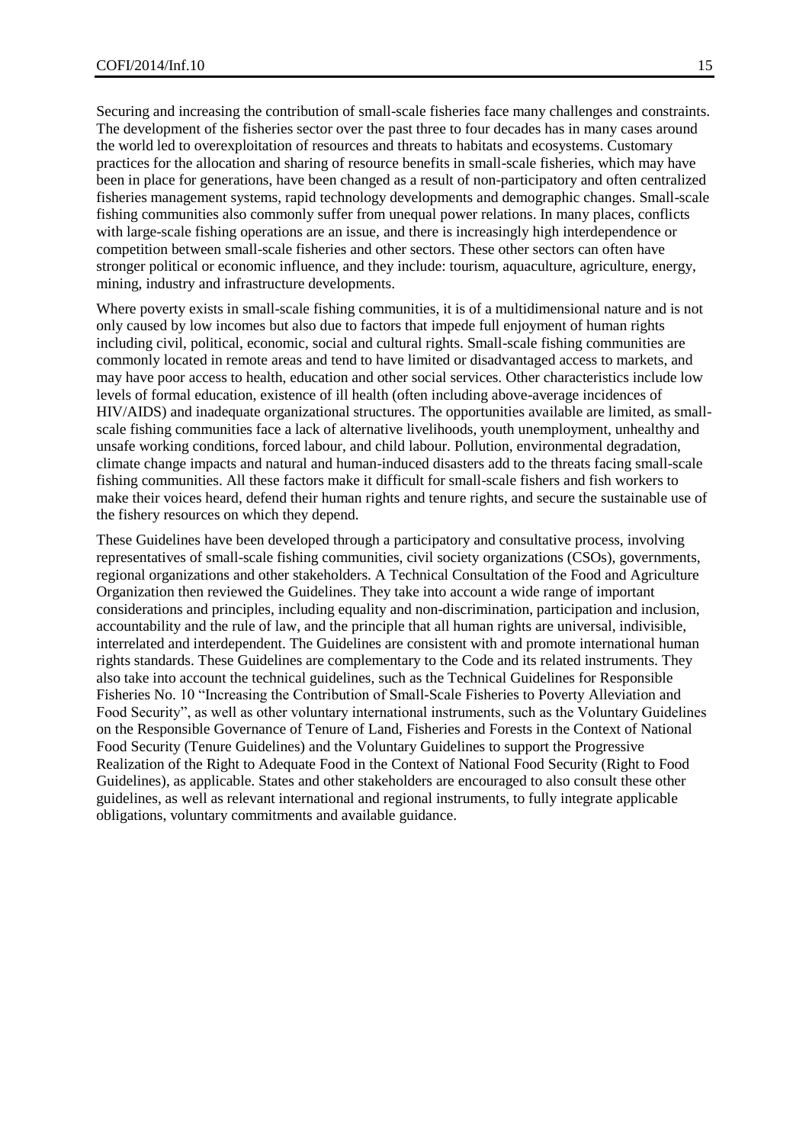Securing and increasing the contribution of small-scale fisheries face many challenges and constraints. The development of the fisheries sector over the past three to four decades has in many cases around the world led to overexploitation of resources and threats to habitats and ecosystems. Customary practices for the allocation and sharing of resource benefits in small-scale fisheries, which may have been in place for generations, have been changed as a result of non-participatory and often centralized fisheries management systems, rapid technology developments and demographic changes. Small-scale fishing communities also commonly suffer from unequal power relations. In many places, conflicts with large-scale fishing operations are an issue, and there is increasingly high interdependence or competition between small-scale fisheries and other sectors. These other sectors can often have stronger political or economic influence, and they include: tourism, aquaculture, agriculture, energy, mining, industry and infrastructure developments.

Where poverty exists in small-scale fishing communities, it is of a multidimensional nature and is not only caused by low incomes but also due to factors that impede full enjoyment of human rights including civil, political, economic, social and cultural rights. Small-scale fishing communities are commonly located in remote areas and tend to have limited or disadvantaged access to markets, and may have poor access to health, education and other social services. Other characteristics include low levels of formal education, existence of ill health (often including above-average incidences of HIV/AIDS) and inadequate organizational structures. The opportunities available are limited, as smallscale fishing communities face a lack of alternative livelihoods, youth unemployment, unhealthy and unsafe working conditions, forced labour, and child labour. Pollution, environmental degradation, climate change impacts and natural and human-induced disasters add to the threats facing small-scale fishing communities. All these factors make it difficult for small-scale fishers and fish workers to make their voices heard, defend their human rights and tenure rights, and secure the sustainable use of the fishery resources on which they depend.

These Guidelines have been developed through a participatory and consultative process, involving representatives of small-scale fishing communities, civil society organizations (CSOs), governments, regional organizations and other stakeholders. A Technical Consultation of the Food and Agriculture Organization then reviewed the Guidelines. They take into account a wide range of important considerations and principles, including equality and non-discrimination, participation and inclusion, accountability and the rule of law, and the principle that all human rights are universal, indivisible, interrelated and interdependent. The Guidelines are consistent with and promote international human rights standards. These Guidelines are complementary to the Code and its related instruments. They also take into account the technical guidelines, such as the Technical Guidelines for Responsible Fisheries No. 10 "Increasing the Contribution of Small-Scale Fisheries to Poverty Alleviation and Food Security", as well as other voluntary international instruments, such as the Voluntary Guidelines on the Responsible Governance of Tenure of Land, Fisheries and Forests in the Context of National Food Security (Tenure Guidelines) and the Voluntary Guidelines to support the Progressive Realization of the Right to Adequate Food in the Context of National Food Security (Right to Food Guidelines), as applicable. States and other stakeholders are encouraged to also consult these other guidelines, as well as relevant international and regional instruments, to fully integrate applicable obligations, voluntary commitments and available guidance.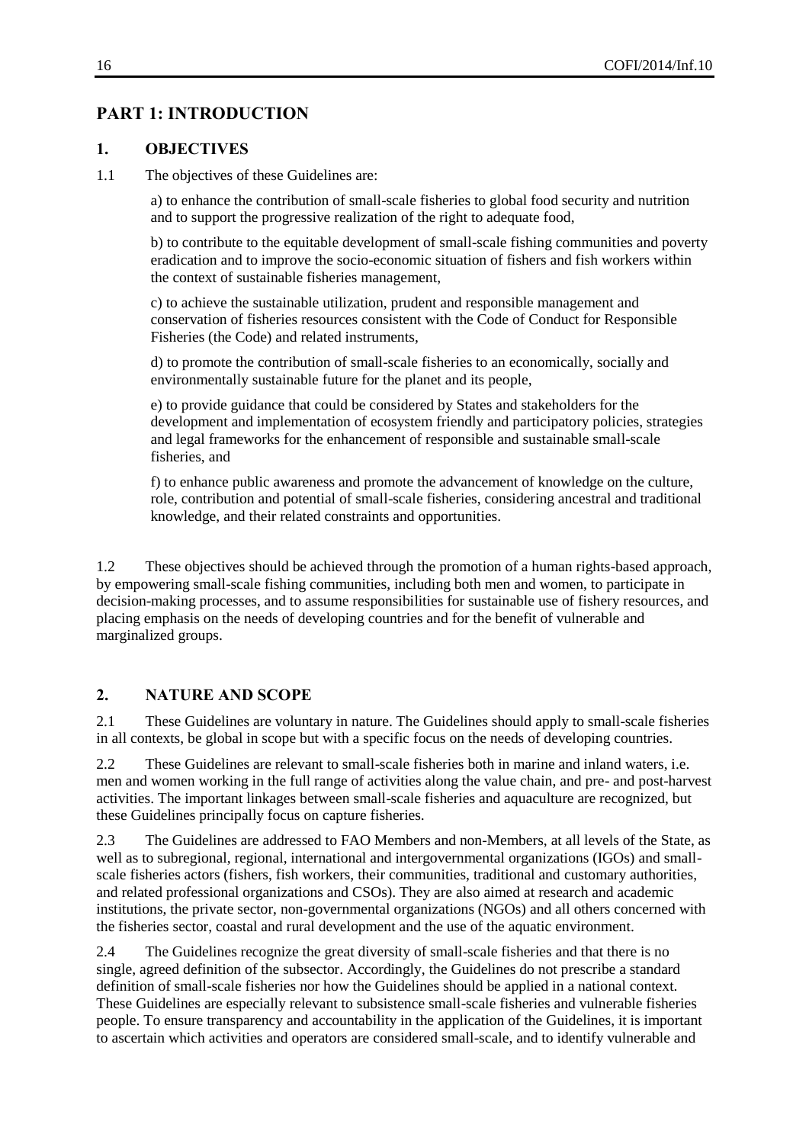# <span id="page-15-0"></span>**PART 1: INTRODUCTION**

### <span id="page-15-1"></span>**1. OBJECTIVES**

1.1 The objectives of these Guidelines are:

a) to enhance the contribution of small-scale fisheries to global food security and nutrition and to support the progressive realization of the right to adequate food,

b) to contribute to the equitable development of small-scale fishing communities and poverty eradication and to improve the socio-economic situation of fishers and fish workers within the context of sustainable fisheries management,

c) to achieve the sustainable utilization, prudent and responsible management and conservation of fisheries resources consistent with the Code of Conduct for Responsible Fisheries (the Code) and related instruments,

d) to promote the contribution of small-scale fisheries to an economically, socially and environmentally sustainable future for the planet and its people,

e) to provide guidance that could be considered by States and stakeholders for the development and implementation of ecosystem friendly and participatory policies, strategies and legal frameworks for the enhancement of responsible and sustainable small-scale fisheries, and

f) to enhance public awareness and promote the advancement of knowledge on the culture, role, contribution and potential of small-scale fisheries, considering ancestral and traditional knowledge, and their related constraints and opportunities.

1.2 These objectives should be achieved through the promotion of a human rights-based approach, by empowering small-scale fishing communities, including both men and women, to participate in decision-making processes, and to assume responsibilities for sustainable use of fishery resources, and placing emphasis on the needs of developing countries and for the benefit of vulnerable and marginalized groups.

# <span id="page-15-2"></span>**2. NATURE AND SCOPE**

2.1 These Guidelines are voluntary in nature. The Guidelines should apply to small-scale fisheries in all contexts, be global in scope but with a specific focus on the needs of developing countries.

2.2 These Guidelines are relevant to small-scale fisheries both in marine and inland waters, i.e. men and women working in the full range of activities along the value chain, and pre- and post-harvest activities. The important linkages between small-scale fisheries and aquaculture are recognized, but these Guidelines principally focus on capture fisheries.

2.3 The Guidelines are addressed to FAO Members and non-Members, at all levels of the State, as well as to subregional, regional, international and intergovernmental organizations (IGOs) and smallscale fisheries actors (fishers, fish workers, their communities, traditional and customary authorities, and related professional organizations and CSOs). They are also aimed at research and academic institutions, the private sector, non-governmental organizations (NGOs) and all others concerned with the fisheries sector, coastal and rural development and the use of the aquatic environment.

2.4 The Guidelines recognize the great diversity of small-scale fisheries and that there is no single, agreed definition of the subsector. Accordingly, the Guidelines do not prescribe a standard definition of small-scale fisheries nor how the Guidelines should be applied in a national context. These Guidelines are especially relevant to subsistence small-scale fisheries and vulnerable fisheries people. To ensure transparency and accountability in the application of the Guidelines, it is important to ascertain which activities and operators are considered small-scale, and to identify vulnerable and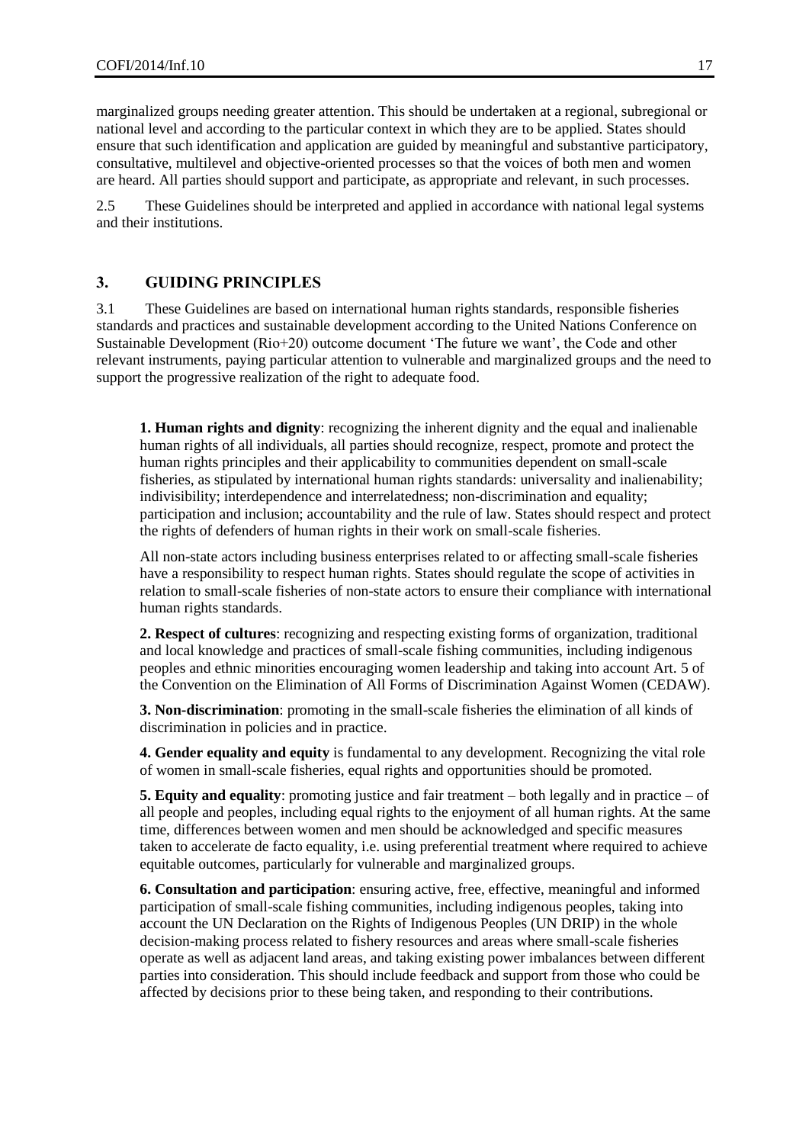marginalized groups needing greater attention. This should be undertaken at a regional, subregional or national level and according to the particular context in which they are to be applied. States should ensure that such identification and application are guided by meaningful and substantive participatory, consultative, multilevel and objective-oriented processes so that the voices of both men and women are heard. All parties should support and participate, as appropriate and relevant, in such processes.

2.5 These Guidelines should be interpreted and applied in accordance with national legal systems and their institutions.

### <span id="page-16-0"></span>**3. GUIDING PRINCIPLES**

3.1 These Guidelines are based on international human rights standards, responsible fisheries standards and practices and sustainable development according to the United Nations Conference on Sustainable Development (Rio+20) outcome document 'The future we want', the Code and other relevant instruments, paying particular attention to vulnerable and marginalized groups and the need to support the progressive realization of the right to adequate food.

**1. Human rights and dignity**: recognizing the inherent dignity and the equal and inalienable human rights of all individuals, all parties should recognize, respect, promote and protect the human rights principles and their applicability to communities dependent on small-scale fisheries, as stipulated by international human rights standards: universality and inalienability; indivisibility; interdependence and interrelatedness; non-discrimination and equality; participation and inclusion; accountability and the rule of law. States should respect and protect the rights of defenders of human rights in their work on small-scale fisheries.

All non-state actors including business enterprises related to or affecting small-scale fisheries have a responsibility to respect human rights. States should regulate the scope of activities in relation to small-scale fisheries of non-state actors to ensure their compliance with international human rights standards.

**2. Respect of cultures**: recognizing and respecting existing forms of organization, traditional and local knowledge and practices of small-scale fishing communities, including indigenous peoples and ethnic minorities encouraging women leadership and taking into account Art. 5 of the Convention on the Elimination of All Forms of Discrimination Against Women (CEDAW).

**3. Non-discrimination**: promoting in the small-scale fisheries the elimination of all kinds of discrimination in policies and in practice.

**4. Gender equality and equity** is fundamental to any development. Recognizing the vital role of women in small-scale fisheries, equal rights and opportunities should be promoted.

**5. Equity and equality**: promoting justice and fair treatment – both legally and in practice – of all people and peoples, including equal rights to the enjoyment of all human rights. At the same time, differences between women and men should be acknowledged and specific measures taken to accelerate de facto equality, i.e. using preferential treatment where required to achieve equitable outcomes, particularly for vulnerable and marginalized groups.

**6. Consultation and participation**: ensuring active, free, effective, meaningful and informed participation of small-scale fishing communities, including indigenous peoples, taking into account the UN Declaration on the Rights of Indigenous Peoples (UN DRIP) in the whole decision-making process related to fishery resources and areas where small-scale fisheries operate as well as adjacent land areas, and taking existing power imbalances between different parties into consideration. This should include feedback and support from those who could be affected by decisions prior to these being taken, and responding to their contributions.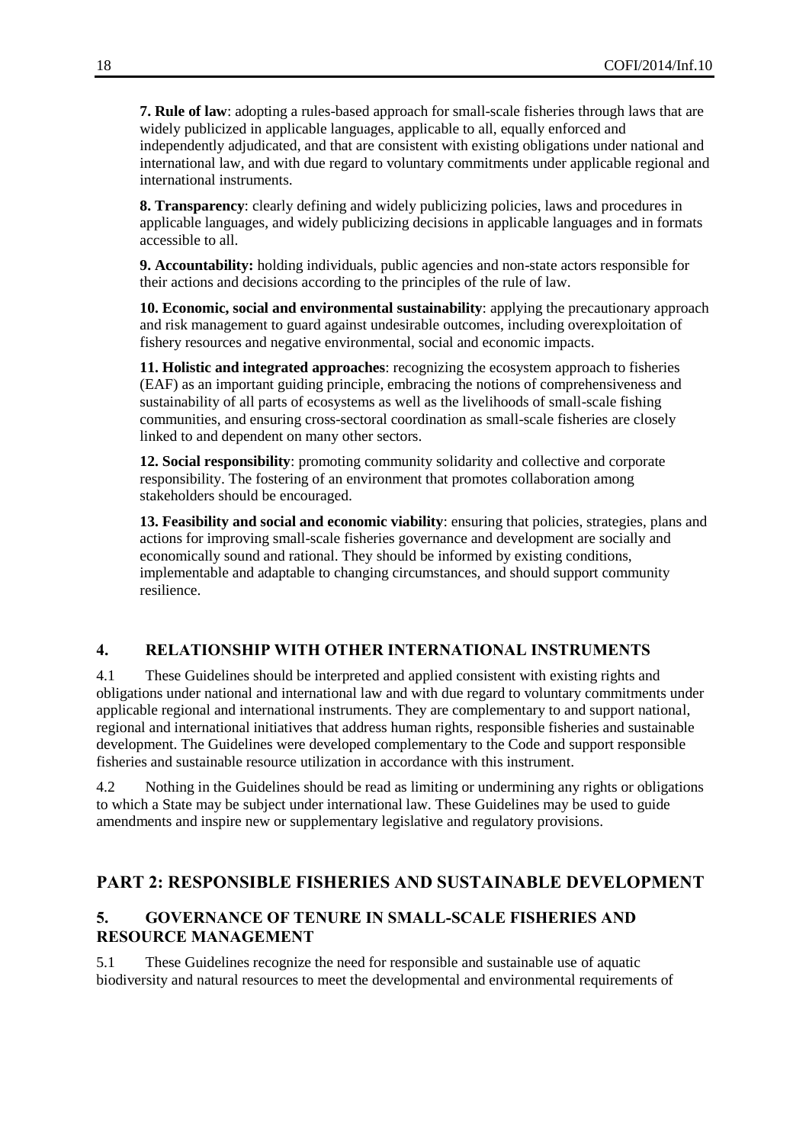**7. Rule of law**: adopting a rules-based approach for small-scale fisheries through laws that are widely publicized in applicable languages, applicable to all, equally enforced and independently adjudicated, and that are consistent with existing obligations under national and international law, and with due regard to voluntary commitments under applicable regional and international instruments.

**8. Transparency**: clearly defining and widely publicizing policies, laws and procedures in applicable languages, and widely publicizing decisions in applicable languages and in formats accessible to all.

**9. Accountability:** holding individuals, public agencies and non-state actors responsible for their actions and decisions according to the principles of the rule of law.

**10. Economic, social and environmental sustainability**: applying the precautionary approach and risk management to guard against undesirable outcomes, including overexploitation of fishery resources and negative environmental, social and economic impacts.

**11. Holistic and integrated approaches**: recognizing the ecosystem approach to fisheries (EAF) as an important guiding principle, embracing the notions of comprehensiveness and sustainability of all parts of ecosystems as well as the livelihoods of small-scale fishing communities, and ensuring cross-sectoral coordination as small-scale fisheries are closely linked to and dependent on many other sectors.

**12. Social responsibility**: promoting community solidarity and collective and corporate responsibility. The fostering of an environment that promotes collaboration among stakeholders should be encouraged.

**13. Feasibility and social and economic viability**: ensuring that policies, strategies, plans and actions for improving small-scale fisheries governance and development are socially and economically sound and rational. They should be informed by existing conditions, implementable and adaptable to changing circumstances, and should support community resilience.

# <span id="page-17-0"></span>**4. RELATIONSHIP WITH OTHER INTERNATIONAL INSTRUMENTS**

4.1 These Guidelines should be interpreted and applied consistent with existing rights and obligations under national and international law and with due regard to voluntary commitments under applicable regional and international instruments. They are complementary to and support national, regional and international initiatives that address human rights, responsible fisheries and sustainable development. The Guidelines were developed complementary to the Code and support responsible fisheries and sustainable resource utilization in accordance with this instrument.

4.2 Nothing in the Guidelines should be read as limiting or undermining any rights or obligations to which a State may be subject under international law. These Guidelines may be used to guide amendments and inspire new or supplementary legislative and regulatory provisions.

# <span id="page-17-1"></span>**PART 2: RESPONSIBLE FISHERIES AND SUSTAINABLE DEVELOPMENT**

# <span id="page-17-2"></span>**5. GOVERNANCE OF TENURE IN SMALL-SCALE FISHERIES AND RESOURCE MANAGEMENT**

5.1 These Guidelines recognize the need for responsible and sustainable use of aquatic biodiversity and natural resources to meet the developmental and environmental requirements of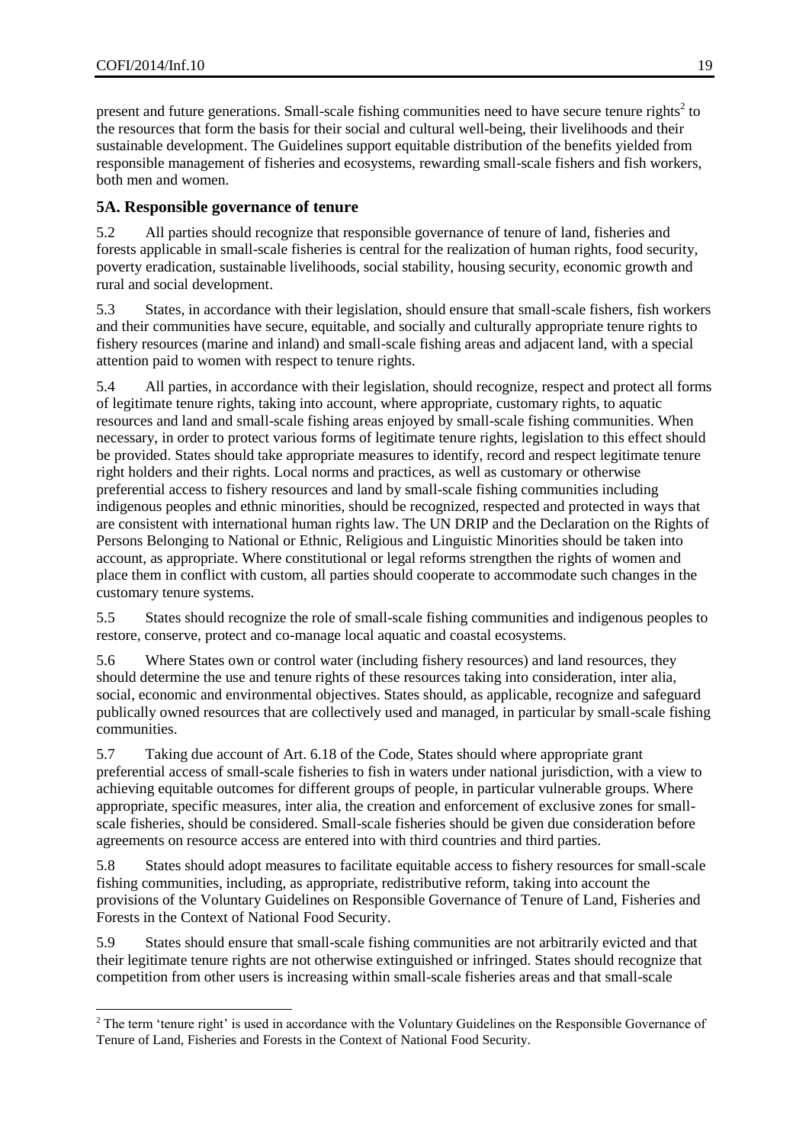l

present and future generations. Small-scale fishing communities need to have secure tenure rights<sup>2</sup> to the resources that form the basis for their social and cultural well-being, their livelihoods and their sustainable development. The Guidelines support equitable distribution of the benefits yielded from responsible management of fisheries and ecosystems, rewarding small-scale fishers and fish workers, both men and women.

# <span id="page-18-0"></span>**5A. Responsible governance of tenure**

5.2 All parties should recognize that responsible governance of tenure of land, fisheries and forests applicable in small-scale fisheries is central for the realization of human rights, food security, poverty eradication, sustainable livelihoods, social stability, housing security, economic growth and rural and social development.

5.3 States, in accordance with their legislation, should ensure that small-scale fishers, fish workers and their communities have secure, equitable, and socially and culturally appropriate tenure rights to fishery resources (marine and inland) and small-scale fishing areas and adjacent land, with a special attention paid to women with respect to tenure rights.

5.4 All parties, in accordance with their legislation, should recognize, respect and protect all forms of legitimate tenure rights, taking into account, where appropriate, customary rights, to aquatic resources and land and small-scale fishing areas enjoyed by small-scale fishing communities. When necessary, in order to protect various forms of legitimate tenure rights, legislation to this effect should be provided. States should take appropriate measures to identify, record and respect legitimate tenure right holders and their rights. Local norms and practices, as well as customary or otherwise preferential access to fishery resources and land by small-scale fishing communities including indigenous peoples and ethnic minorities, should be recognized, respected and protected in ways that are consistent with international human rights law. The UN DRIP and the Declaration on the Rights of Persons Belonging to National or Ethnic, Religious and Linguistic Minorities should be taken into account, as appropriate. Where constitutional or legal reforms strengthen the rights of women and place them in conflict with custom, all parties should cooperate to accommodate such changes in the customary tenure systems.

5.5 States should recognize the role of small-scale fishing communities and indigenous peoples to restore, conserve, protect and co-manage local aquatic and coastal ecosystems.

5.6 Where States own or control water (including fishery resources) and land resources, they should determine the use and tenure rights of these resources taking into consideration, inter alia, social, economic and environmental objectives. States should, as applicable, recognize and safeguard publically owned resources that are collectively used and managed, in particular by small-scale fishing communities.

5.7 Taking due account of Art. 6.18 of the Code, States should where appropriate grant preferential access of small-scale fisheries to fish in waters under national jurisdiction, with a view to achieving equitable outcomes for different groups of people, in particular vulnerable groups. Where appropriate, specific measures, inter alia, the creation and enforcement of exclusive zones for smallscale fisheries, should be considered. Small-scale fisheries should be given due consideration before agreements on resource access are entered into with third countries and third parties.

5.8 States should adopt measures to facilitate equitable access to fishery resources for small-scale fishing communities, including, as appropriate, redistributive reform, taking into account the provisions of the Voluntary Guidelines on Responsible Governance of Tenure of Land, Fisheries and Forests in the Context of National Food Security.

5.9 States should ensure that small-scale fishing communities are not arbitrarily evicted and that their legitimate tenure rights are not otherwise extinguished or infringed. States should recognize that competition from other users is increasing within small-scale fisheries areas and that small-scale

<sup>&</sup>lt;sup>2</sup> The term 'tenure right' is used in accordance with the Voluntary Guidelines on the Responsible Governance of Tenure of Land, Fisheries and Forests in the Context of National Food Security.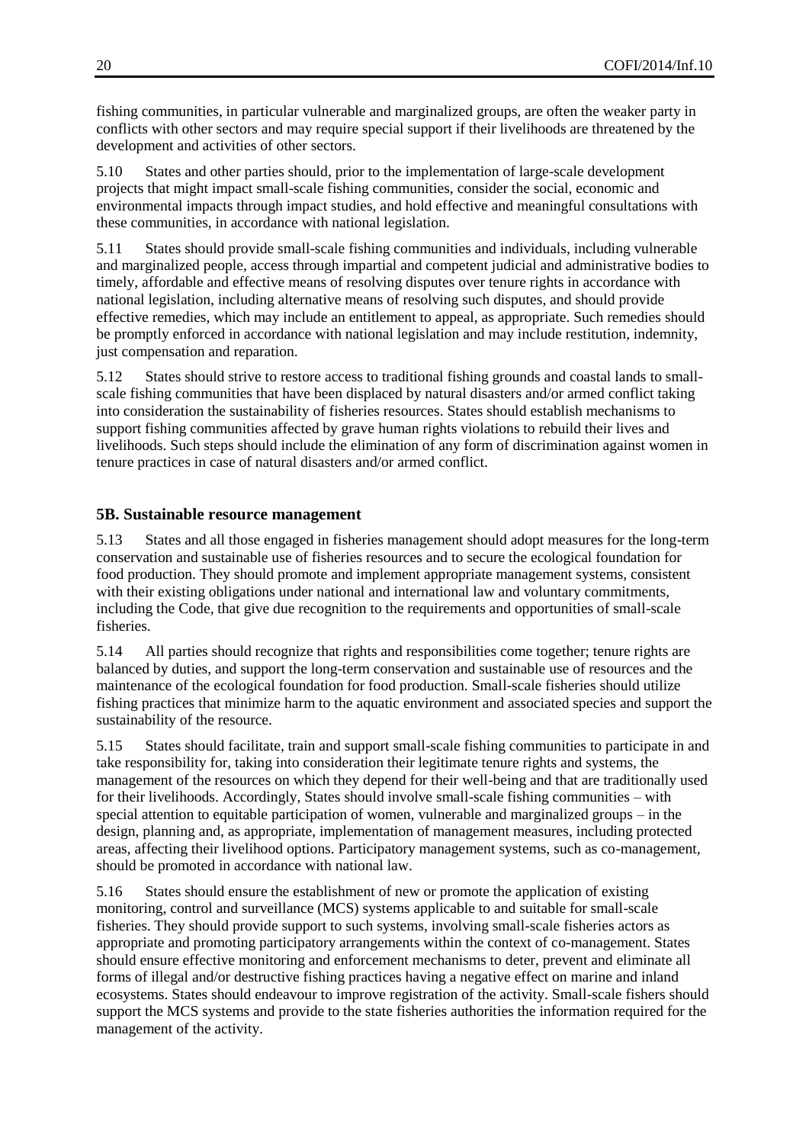fishing communities, in particular vulnerable and marginalized groups, are often the weaker party in conflicts with other sectors and may require special support if their livelihoods are threatened by the development and activities of other sectors.

5.10 States and other parties should, prior to the implementation of large-scale development projects that might impact small-scale fishing communities, consider the social, economic and environmental impacts through impact studies, and hold effective and meaningful consultations with these communities, in accordance with national legislation.

5.11 States should provide small-scale fishing communities and individuals, including vulnerable and marginalized people, access through impartial and competent judicial and administrative bodies to timely, affordable and effective means of resolving disputes over tenure rights in accordance with national legislation, including alternative means of resolving such disputes, and should provide effective remedies, which may include an entitlement to appeal, as appropriate. Such remedies should be promptly enforced in accordance with national legislation and may include restitution, indemnity, just compensation and reparation.

5.12 States should strive to restore access to traditional fishing grounds and coastal lands to smallscale fishing communities that have been displaced by natural disasters and/or armed conflict taking into consideration the sustainability of fisheries resources. States should establish mechanisms to support fishing communities affected by grave human rights violations to rebuild their lives and livelihoods. Such steps should include the elimination of any form of discrimination against women in tenure practices in case of natural disasters and/or armed conflict.

# <span id="page-19-0"></span>**5B. Sustainable resource management**

5.13 States and all those engaged in fisheries management should adopt measures for the long-term conservation and sustainable use of fisheries resources and to secure the ecological foundation for food production. They should promote and implement appropriate management systems, consistent with their existing obligations under national and international law and voluntary commitments, including the Code, that give due recognition to the requirements and opportunities of small-scale fisheries.

5.14 All parties should recognize that rights and responsibilities come together; tenure rights are balanced by duties, and support the long-term conservation and sustainable use of resources and the maintenance of the ecological foundation for food production. Small-scale fisheries should utilize fishing practices that minimize harm to the aquatic environment and associated species and support the sustainability of the resource.

5.15 States should facilitate, train and support small-scale fishing communities to participate in and take responsibility for, taking into consideration their legitimate tenure rights and systems, the management of the resources on which they depend for their well-being and that are traditionally used for their livelihoods. Accordingly, States should involve small-scale fishing communities – with special attention to equitable participation of women, vulnerable and marginalized groups – in the design, planning and, as appropriate, implementation of management measures, including protected areas, affecting their livelihood options. Participatory management systems, such as co-management, should be promoted in accordance with national law.

5.16 States should ensure the establishment of new or promote the application of existing monitoring, control and surveillance (MCS) systems applicable to and suitable for small-scale fisheries. They should provide support to such systems, involving small-scale fisheries actors as appropriate and promoting participatory arrangements within the context of co-management. States should ensure effective monitoring and enforcement mechanisms to deter, prevent and eliminate all forms of illegal and/or destructive fishing practices having a negative effect on marine and inland ecosystems. States should endeavour to improve registration of the activity. Small-scale fishers should support the MCS systems and provide to the state fisheries authorities the information required for the management of the activity.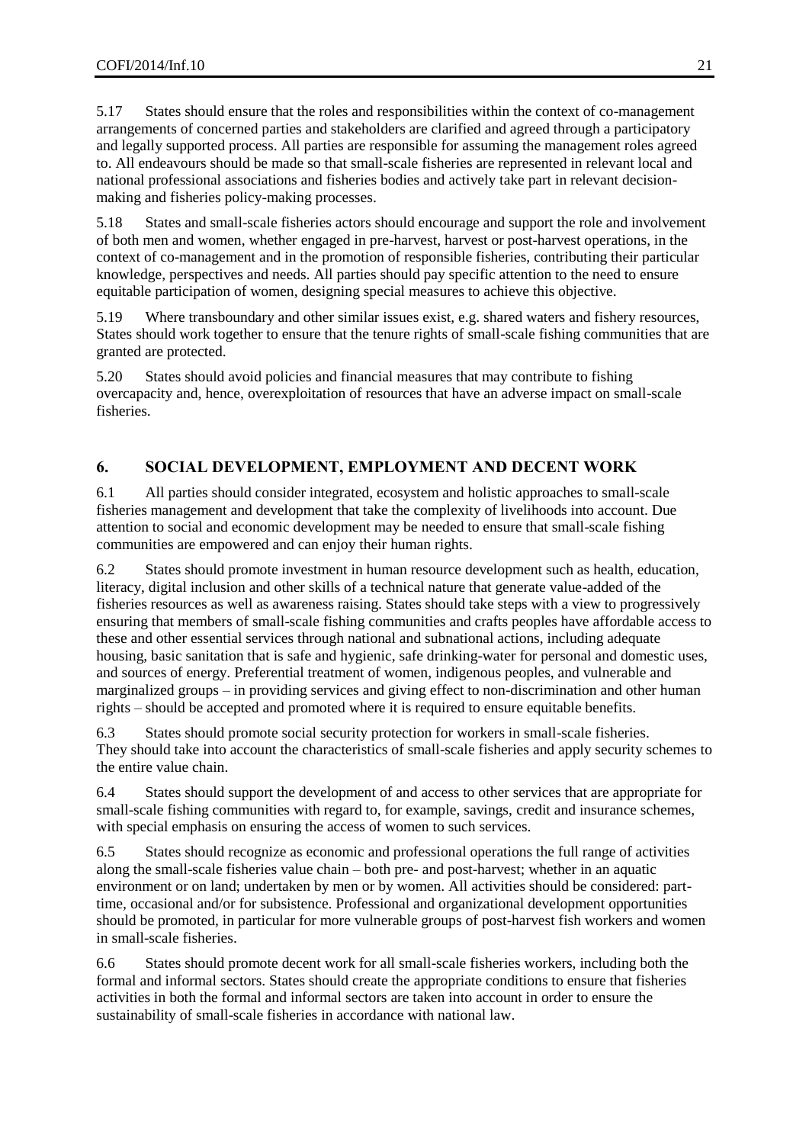5.17 States should ensure that the roles and responsibilities within the context of co-management arrangements of concerned parties and stakeholders are clarified and agreed through a participatory and legally supported process. All parties are responsible for assuming the management roles agreed to. All endeavours should be made so that small-scale fisheries are represented in relevant local and national professional associations and fisheries bodies and actively take part in relevant decisionmaking and fisheries policy-making processes.

5.18 States and small-scale fisheries actors should encourage and support the role and involvement of both men and women, whether engaged in pre-harvest, harvest or post-harvest operations, in the context of co-management and in the promotion of responsible fisheries, contributing their particular knowledge, perspectives and needs. All parties should pay specific attention to the need to ensure equitable participation of women, designing special measures to achieve this objective.

5.19 Where transboundary and other similar issues exist, e.g. shared waters and fishery resources, States should work together to ensure that the tenure rights of small-scale fishing communities that are granted are protected.

5.20 States should avoid policies and financial measures that may contribute to fishing overcapacity and, hence, overexploitation of resources that have an adverse impact on small-scale fisheries.

# <span id="page-20-0"></span>**6. SOCIAL DEVELOPMENT, EMPLOYMENT AND DECENT WORK**

6.1 All parties should consider integrated, ecosystem and holistic approaches to small-scale fisheries management and development that take the complexity of livelihoods into account. Due attention to social and economic development may be needed to ensure that small-scale fishing communities are empowered and can enjoy their human rights.

6.2 States should promote investment in human resource development such as health, education, literacy, digital inclusion and other skills of a technical nature that generate value-added of the fisheries resources as well as awareness raising. States should take steps with a view to progressively ensuring that members of small-scale fishing communities and crafts peoples have affordable access to these and other essential services through national and subnational actions, including adequate housing, basic sanitation that is safe and hygienic, safe drinking-water for personal and domestic uses, and sources of energy. Preferential treatment of women, indigenous peoples, and vulnerable and marginalized groups – in providing services and giving effect to non-discrimination and other human rights – should be accepted and promoted where it is required to ensure equitable benefits.

6.3 States should promote social security protection for workers in small-scale fisheries. They should take into account the characteristics of small-scale fisheries and apply security schemes to the entire value chain.

6.4 States should support the development of and access to other services that are appropriate for small-scale fishing communities with regard to, for example, savings, credit and insurance schemes, with special emphasis on ensuring the access of women to such services.

6.5 States should recognize as economic and professional operations the full range of activities along the small-scale fisheries value chain – both pre- and post-harvest; whether in an aquatic environment or on land; undertaken by men or by women. All activities should be considered: parttime, occasional and/or for subsistence. Professional and organizational development opportunities should be promoted, in particular for more vulnerable groups of post-harvest fish workers and women in small-scale fisheries.

6.6 States should promote decent work for all small-scale fisheries workers, including both the formal and informal sectors. States should create the appropriate conditions to ensure that fisheries activities in both the formal and informal sectors are taken into account in order to ensure the sustainability of small-scale fisheries in accordance with national law.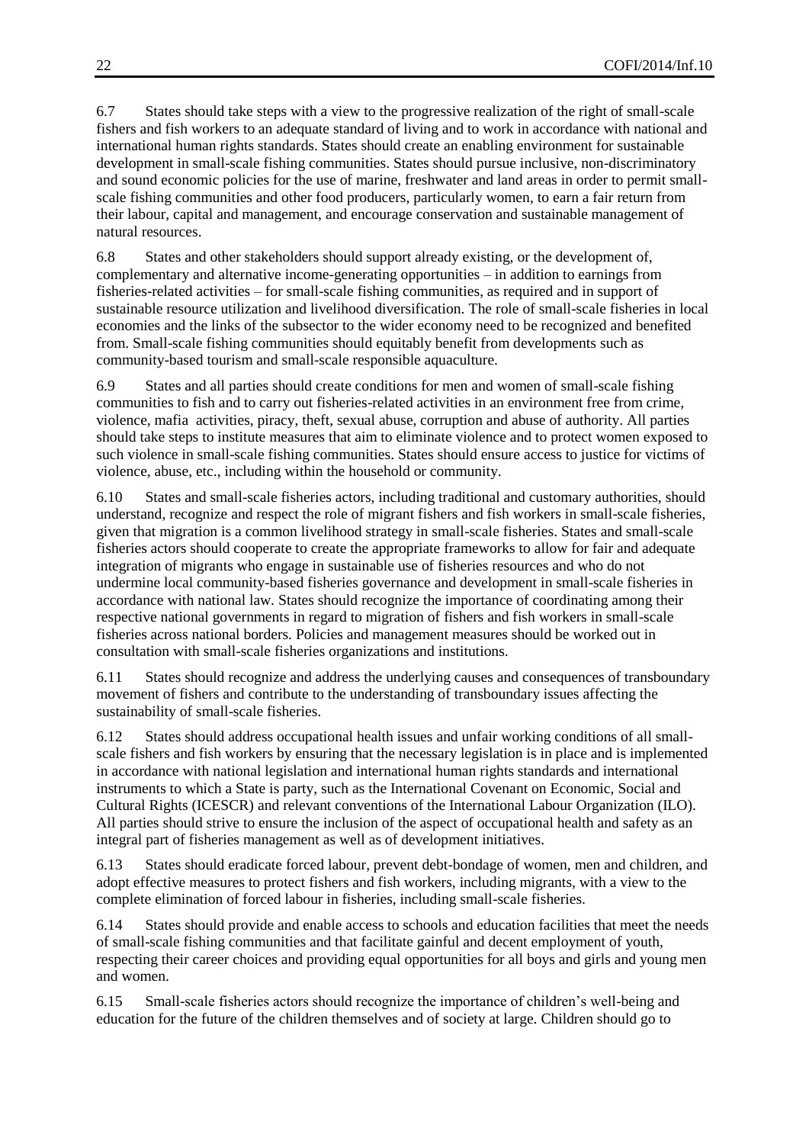6.7 States should take steps with a view to the progressive realization of the right of small-scale fishers and fish workers to an adequate standard of living and to work in accordance with national and international human rights standards. States should create an enabling environment for sustainable development in small-scale fishing communities. States should pursue inclusive, non-discriminatory and sound economic policies for the use of marine, freshwater and land areas in order to permit smallscale fishing communities and other food producers, particularly women, to earn a fair return from their labour, capital and management, and encourage conservation and sustainable management of natural resources.

6.8 States and other stakeholders should support already existing, or the development of, complementary and alternative income-generating opportunities – in addition to earnings from fisheries-related activities – for small-scale fishing communities, as required and in support of sustainable resource utilization and livelihood diversification. The role of small-scale fisheries in local economies and the links of the subsector to the wider economy need to be recognized and benefited from. Small-scale fishing communities should equitably benefit from developments such as community-based tourism and small-scale responsible aquaculture.

6.9 States and all parties should create conditions for men and women of small-scale fishing communities to fish and to carry out fisheries-related activities in an environment free from crime, violence, mafia activities, piracy, theft, sexual abuse, corruption and abuse of authority. All parties should take steps to institute measures that aim to eliminate violence and to protect women exposed to such violence in small-scale fishing communities. States should ensure access to justice for victims of violence, abuse, etc., including within the household or community.

6.10 States and small-scale fisheries actors, including traditional and customary authorities, should understand, recognize and respect the role of migrant fishers and fish workers in small-scale fisheries, given that migration is a common livelihood strategy in small-scale fisheries. States and small-scale fisheries actors should cooperate to create the appropriate frameworks to allow for fair and adequate integration of migrants who engage in sustainable use of fisheries resources and who do not undermine local community-based fisheries governance and development in small-scale fisheries in accordance with national law. States should recognize the importance of coordinating among their respective national governments in regard to migration of fishers and fish workers in small-scale fisheries across national borders. Policies and management measures should be worked out in consultation with small-scale fisheries organizations and institutions.

6.11 States should recognize and address the underlying causes and consequences of transboundary movement of fishers and contribute to the understanding of transboundary issues affecting the sustainability of small-scale fisheries.

6.12 States should address occupational health issues and unfair working conditions of all smallscale fishers and fish workers by ensuring that the necessary legislation is in place and is implemented in accordance with national legislation and international human rights standards and international instruments to which a State is party, such as the International Covenant on Economic, Social and Cultural Rights (ICESCR) and relevant conventions of the International Labour Organization (ILO). All parties should strive to ensure the inclusion of the aspect of occupational health and safety as an integral part of fisheries management as well as of development initiatives.

6.13 States should eradicate forced labour, prevent debt-bondage of women, men and children, and adopt effective measures to protect fishers and fish workers, including migrants, with a view to the complete elimination of forced labour in fisheries, including small-scale fisheries.

6.14 States should provide and enable access to schools and education facilities that meet the needs of small-scale fishing communities and that facilitate gainful and decent employment of youth, respecting their career choices and providing equal opportunities for all boys and girls and young men and women.

6.15 Small-scale fisheries actors should recognize the importance of children's well-being and education for the future of the children themselves and of society at large. Children should go to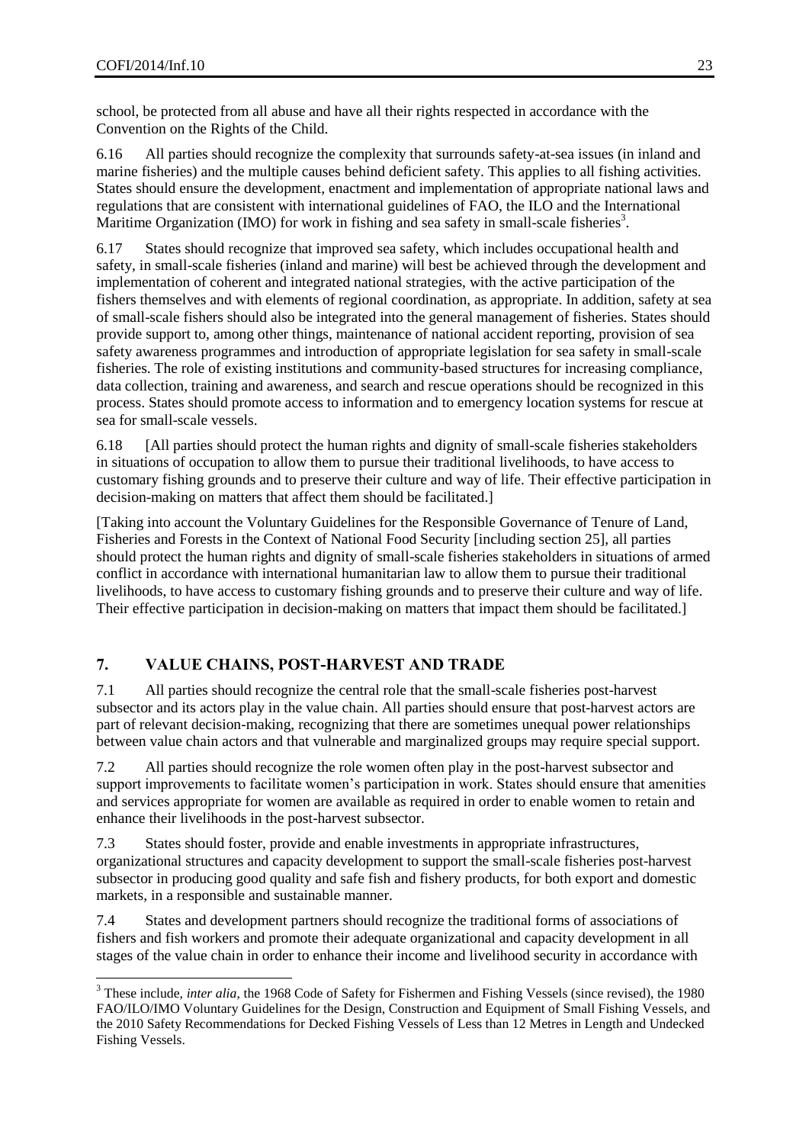school, be protected from all abuse and have all their rights respected in accordance with the Convention on the Rights of the Child.

6.16 All parties should recognize the complexity that surrounds safety-at-sea issues (in inland and marine fisheries) and the multiple causes behind deficient safety. This applies to all fishing activities. States should ensure the development, enactment and implementation of appropriate national laws and regulations that are consistent with international guidelines of FAO, the ILO and the International Maritime Organization (IMO) for work in fishing and sea safety in small-scale fisheries<sup>3</sup>.

6.17 States should recognize that improved sea safety, which includes occupational health and safety, in small-scale fisheries (inland and marine) will best be achieved through the development and implementation of coherent and integrated national strategies, with the active participation of the fishers themselves and with elements of regional coordination, as appropriate. In addition, safety at sea of small-scale fishers should also be integrated into the general management of fisheries. States should provide support to, among other things, maintenance of national accident reporting, provision of sea safety awareness programmes and introduction of appropriate legislation for sea safety in small-scale fisheries. The role of existing institutions and community-based structures for increasing compliance, data collection, training and awareness, and search and rescue operations should be recognized in this process. States should promote access to information and to emergency location systems for rescue at sea for small-scale vessels.

6.18 [All parties should protect the human rights and dignity of small-scale fisheries stakeholders in situations of occupation to allow them to pursue their traditional livelihoods, to have access to customary fishing grounds and to preserve their culture and way of life. Their effective participation in decision-making on matters that affect them should be facilitated.]

[Taking into account the Voluntary Guidelines for the Responsible Governance of Tenure of Land, Fisheries and Forests in the Context of National Food Security [including section 25], all parties should protect the human rights and dignity of small-scale fisheries stakeholders in situations of armed conflict in accordance with international humanitarian law to allow them to pursue their traditional livelihoods, to have access to customary fishing grounds and to preserve their culture and way of life. Their effective participation in decision-making on matters that impact them should be facilitated.]

# <span id="page-22-0"></span>**7. VALUE CHAINS, POST-HARVEST AND TRADE**

7.1 All parties should recognize the central role that the small-scale fisheries post-harvest subsector and its actors play in the value chain. All parties should ensure that post-harvest actors are part of relevant decision-making, recognizing that there are sometimes unequal power relationships between value chain actors and that vulnerable and marginalized groups may require special support.

7.2 All parties should recognize the role women often play in the post-harvest subsector and support improvements to facilitate women's participation in work. States should ensure that amenities and services appropriate for women are available as required in order to enable women to retain and enhance their livelihoods in the post-harvest subsector.

7.3 States should foster, provide and enable investments in appropriate infrastructures, organizational structures and capacity development to support the small-scale fisheries post-harvest subsector in producing good quality and safe fish and fishery products, for both export and domestic markets, in a responsible and sustainable manner.

7.4 States and development partners should recognize the traditional forms of associations of fishers and fish workers and promote their adequate organizational and capacity development in all stages of the value chain in order to enhance their income and livelihood security in accordance with

 $\overline{a}$ <sup>3</sup> These include, *inter alia*, the 1968 Code of Safety for Fishermen and Fishing Vessels (since revised), the 1980 FAO/ILO/IMO Voluntary Guidelines for the Design, Construction and Equipment of Small Fishing Vessels, and the 2010 Safety Recommendations for Decked Fishing Vessels of Less than 12 Metres in Length and Undecked Fishing Vessels.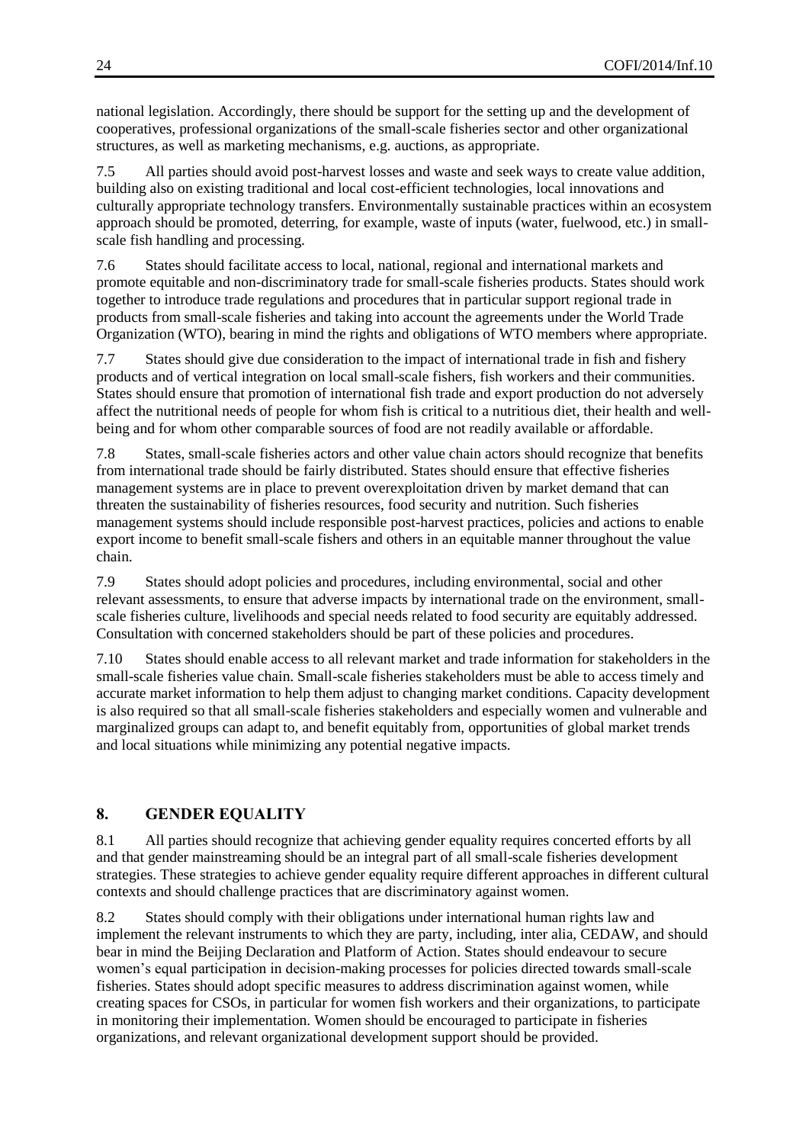national legislation. Accordingly, there should be support for the setting up and the development of cooperatives, professional organizations of the small-scale fisheries sector and other organizational structures, as well as marketing mechanisms, e.g. auctions, as appropriate.

7.5 All parties should avoid post-harvest losses and waste and seek ways to create value addition, building also on existing traditional and local cost-efficient technologies, local innovations and culturally appropriate technology transfers. Environmentally sustainable practices within an ecosystem approach should be promoted, deterring, for example, waste of inputs (water, fuelwood, etc.) in smallscale fish handling and processing.

7.6 States should facilitate access to local, national, regional and international markets and promote equitable and non-discriminatory trade for small-scale fisheries products. States should work together to introduce trade regulations and procedures that in particular support regional trade in products from small-scale fisheries and taking into account the agreements under the World Trade Organization (WTO), bearing in mind the rights and obligations of WTO members where appropriate.

7.7 States should give due consideration to the impact of international trade in fish and fishery products and of vertical integration on local small-scale fishers, fish workers and their communities. States should ensure that promotion of international fish trade and export production do not adversely affect the nutritional needs of people for whom fish is critical to a nutritious diet, their health and wellbeing and for whom other comparable sources of food are not readily available or affordable.

7.8 States, small-scale fisheries actors and other value chain actors should recognize that benefits from international trade should be fairly distributed. States should ensure that effective fisheries management systems are in place to prevent overexploitation driven by market demand that can threaten the sustainability of fisheries resources, food security and nutrition. Such fisheries management systems should include responsible post-harvest practices, policies and actions to enable export income to benefit small-scale fishers and others in an equitable manner throughout the value chain.

7.9 States should adopt policies and procedures, including environmental, social and other relevant assessments, to ensure that adverse impacts by international trade on the environment, smallscale fisheries culture, livelihoods and special needs related to food security are equitably addressed. Consultation with concerned stakeholders should be part of these policies and procedures.

7.10 States should enable access to all relevant market and trade information for stakeholders in the small-scale fisheries value chain. Small-scale fisheries stakeholders must be able to access timely and accurate market information to help them adjust to changing market conditions. Capacity development is also required so that all small-scale fisheries stakeholders and especially women and vulnerable and marginalized groups can adapt to, and benefit equitably from, opportunities of global market trends and local situations while minimizing any potential negative impacts.

# <span id="page-23-0"></span>**8. GENDER EQUALITY**

8.1 All parties should recognize that achieving gender equality requires concerted efforts by all and that gender mainstreaming should be an integral part of all small-scale fisheries development strategies. These strategies to achieve gender equality require different approaches in different cultural contexts and should challenge practices that are discriminatory against women.

8.2 States should comply with their obligations under international human rights law and implement the relevant instruments to which they are party, including, inter alia, CEDAW, and should bear in mind the Beijing Declaration and Platform of Action. States should endeavour to secure women's equal participation in decision-making processes for policies directed towards small-scale fisheries. States should adopt specific measures to address discrimination against women, while creating spaces for CSOs, in particular for women fish workers and their organizations, to participate in monitoring their implementation. Women should be encouraged to participate in fisheries organizations, and relevant organizational development support should be provided.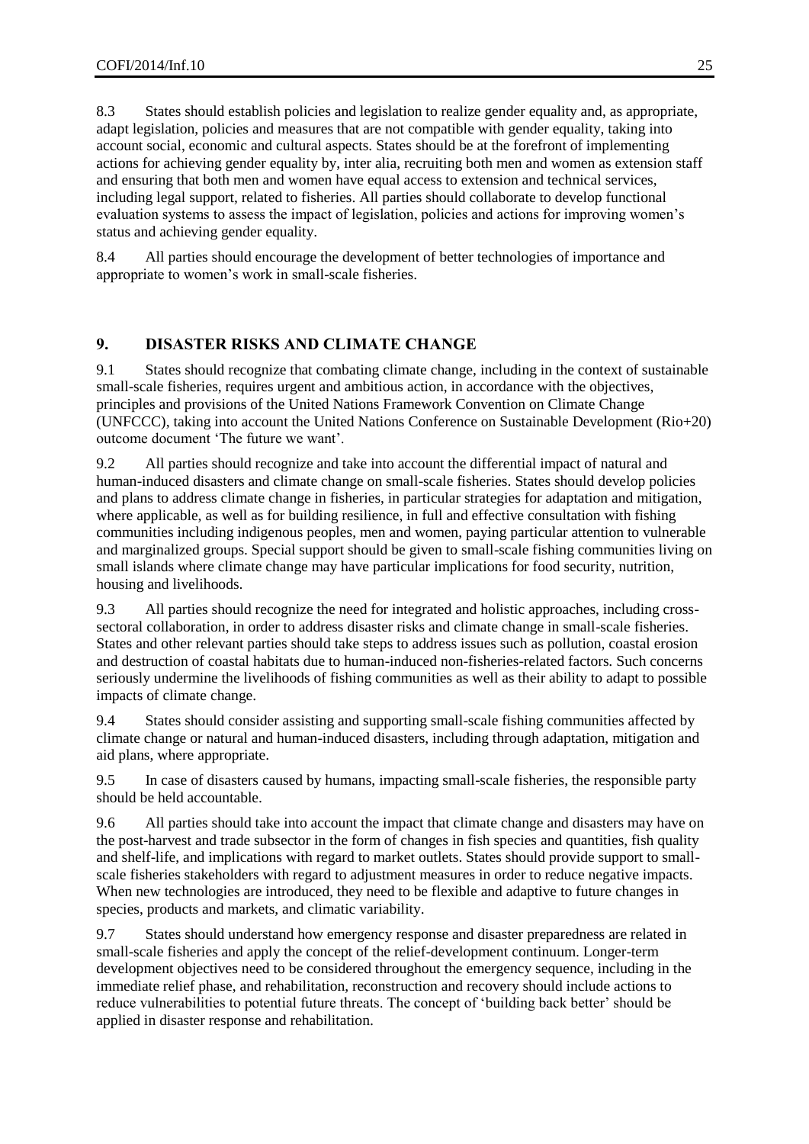8.3 States should establish policies and legislation to realize gender equality and, as appropriate, adapt legislation, policies and measures that are not compatible with gender equality, taking into account social, economic and cultural aspects. States should be at the forefront of implementing actions for achieving gender equality by, inter alia, recruiting both men and women as extension staff and ensuring that both men and women have equal access to extension and technical services, including legal support, related to fisheries. All parties should collaborate to develop functional evaluation systems to assess the impact of legislation, policies and actions for improving women's status and achieving gender equality.

8.4 All parties should encourage the development of better technologies of importance and appropriate to women's work in small-scale fisheries.

# <span id="page-24-0"></span>**9. DISASTER RISKS AND CLIMATE CHANGE**

9.1 States should recognize that combating climate change, including in the context of sustainable small-scale fisheries, requires urgent and ambitious action, in accordance with the objectives, principles and provisions of the United Nations Framework Convention on Climate Change (UNFCCC), taking into account the United Nations Conference on Sustainable Development (Rio+20) outcome document 'The future we want'.

9.2 All parties should recognize and take into account the differential impact of natural and human-induced disasters and climate change on small-scale fisheries. States should develop policies and plans to address climate change in fisheries, in particular strategies for adaptation and mitigation, where applicable, as well as for building resilience, in full and effective consultation with fishing communities including indigenous peoples, men and women, paying particular attention to vulnerable and marginalized groups. Special support should be given to small-scale fishing communities living on small islands where climate change may have particular implications for food security, nutrition, housing and livelihoods.

9.3 All parties should recognize the need for integrated and holistic approaches, including crosssectoral collaboration, in order to address disaster risks and climate change in small-scale fisheries. States and other relevant parties should take steps to address issues such as pollution, coastal erosion and destruction of coastal habitats due to human-induced non-fisheries-related factors. Such concerns seriously undermine the livelihoods of fishing communities as well as their ability to adapt to possible impacts of climate change.

9.4 States should consider assisting and supporting small-scale fishing communities affected by climate change or natural and human-induced disasters, including through adaptation, mitigation and aid plans, where appropriate.

9.5 In case of disasters caused by humans, impacting small-scale fisheries, the responsible party should be held accountable.

9.6 All parties should take into account the impact that climate change and disasters may have on the post-harvest and trade subsector in the form of changes in fish species and quantities, fish quality and shelf-life, and implications with regard to market outlets. States should provide support to smallscale fisheries stakeholders with regard to adjustment measures in order to reduce negative impacts. When new technologies are introduced, they need to be flexible and adaptive to future changes in species, products and markets, and climatic variability.

9.7 States should understand how emergency response and disaster preparedness are related in small-scale fisheries and apply the concept of the relief-development continuum. Longer-term development objectives need to be considered throughout the emergency sequence, including in the immediate relief phase, and rehabilitation, reconstruction and recovery should include actions to reduce vulnerabilities to potential future threats. The concept of 'building back better' should be applied in disaster response and rehabilitation.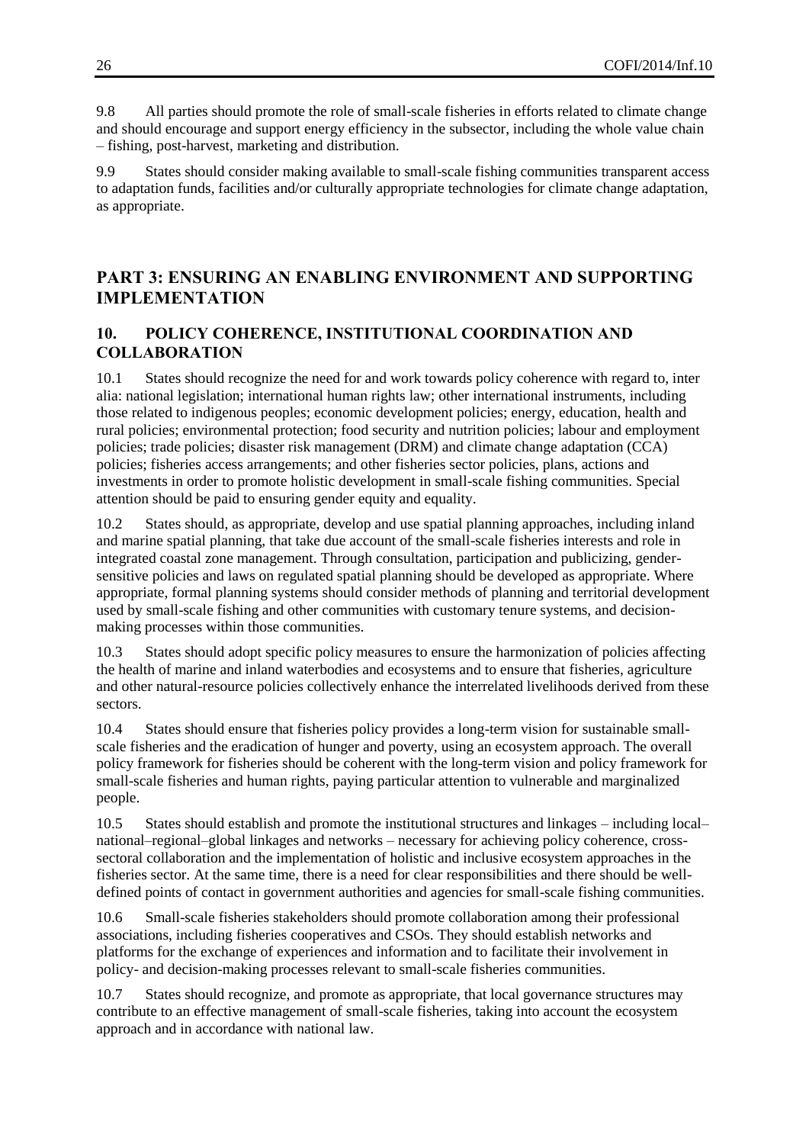9.8 All parties should promote the role of small-scale fisheries in efforts related to climate change and should encourage and support energy efficiency in the subsector, including the whole value chain – fishing, post-harvest, marketing and distribution.

<span id="page-25-0"></span>9.9 States should consider making available to small-scale fishing communities transparent access to adaptation funds, facilities and/or culturally appropriate technologies for climate change adaptation, as appropriate.

# **PART 3: ENSURING AN ENABLING ENVIRONMENT AND SUPPORTING IMPLEMENTATION**

# <span id="page-25-1"></span>**10. POLICY COHERENCE, INSTITUTIONAL COORDINATION AND COLLABORATION**

10.1 States should recognize the need for and work towards policy coherence with regard to, inter alia: national legislation; international human rights law; other international instruments, including those related to indigenous peoples; economic development policies; energy, education, health and rural policies; environmental protection; food security and nutrition policies; labour and employment policies; trade policies; disaster risk management (DRM) and climate change adaptation (CCA) policies; fisheries access arrangements; and other fisheries sector policies, plans, actions and investments in order to promote holistic development in small-scale fishing communities. Special attention should be paid to ensuring gender equity and equality.

10.2 States should, as appropriate, develop and use spatial planning approaches, including inland and marine spatial planning, that take due account of the small-scale fisheries interests and role in integrated coastal zone management. Through consultation, participation and publicizing, gendersensitive policies and laws on regulated spatial planning should be developed as appropriate. Where appropriate, formal planning systems should consider methods of planning and territorial development used by small-scale fishing and other communities with customary tenure systems, and decisionmaking processes within those communities.

10.3 States should adopt specific policy measures to ensure the harmonization of policies affecting the health of marine and inland waterbodies and ecosystems and to ensure that fisheries, agriculture and other natural-resource policies collectively enhance the interrelated livelihoods derived from these sectors.

10.4 States should ensure that fisheries policy provides a long-term vision for sustainable smallscale fisheries and the eradication of hunger and poverty, using an ecosystem approach. The overall policy framework for fisheries should be coherent with the long-term vision and policy framework for small-scale fisheries and human rights, paying particular attention to vulnerable and marginalized people.

10.5 States should establish and promote the institutional structures and linkages – including local– national–regional–global linkages and networks – necessary for achieving policy coherence, crosssectoral collaboration and the implementation of holistic and inclusive ecosystem approaches in the fisheries sector. At the same time, there is a need for clear responsibilities and there should be welldefined points of contact in government authorities and agencies for small-scale fishing communities.

10.6 Small-scale fisheries stakeholders should promote collaboration among their professional associations, including fisheries cooperatives and CSOs. They should establish networks and platforms for the exchange of experiences and information and to facilitate their involvement in policy- and decision-making processes relevant to small-scale fisheries communities.

10.7 States should recognize, and promote as appropriate, that local governance structures may contribute to an effective management of small-scale fisheries, taking into account the ecosystem approach and in accordance with national law.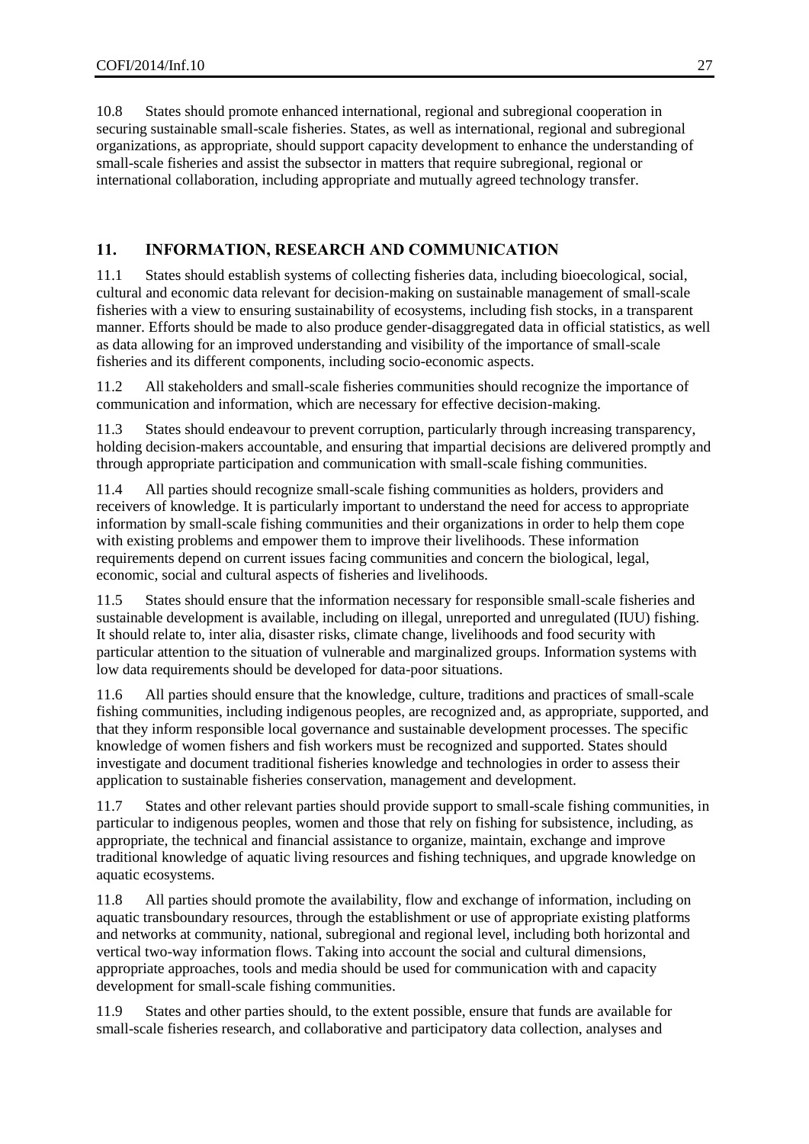10.8 States should promote enhanced international, regional and subregional cooperation in securing sustainable small-scale fisheries. States, as well as international, regional and subregional organizations, as appropriate, should support capacity development to enhance the understanding of small-scale fisheries and assist the subsector in matters that require subregional, regional or international collaboration, including appropriate and mutually agreed technology transfer.

# <span id="page-26-0"></span>**11. INFORMATION, RESEARCH AND COMMUNICATION**

11.1 States should establish systems of collecting fisheries data, including bioecological, social, cultural and economic data relevant for decision-making on sustainable management of small-scale fisheries with a view to ensuring sustainability of ecosystems, including fish stocks, in a transparent manner. Efforts should be made to also produce gender-disaggregated data in official statistics, as well as data allowing for an improved understanding and visibility of the importance of small-scale fisheries and its different components, including socio-economic aspects.

11.2 All stakeholders and small-scale fisheries communities should recognize the importance of communication and information, which are necessary for effective decision-making.

11.3 States should endeavour to prevent corruption, particularly through increasing transparency, holding decision-makers accountable, and ensuring that impartial decisions are delivered promptly and through appropriate participation and communication with small-scale fishing communities.

11.4 All parties should recognize small-scale fishing communities as holders, providers and receivers of knowledge. It is particularly important to understand the need for access to appropriate information by small-scale fishing communities and their organizations in order to help them cope with existing problems and empower them to improve their livelihoods. These information requirements depend on current issues facing communities and concern the biological, legal, economic, social and cultural aspects of fisheries and livelihoods.

11.5 States should ensure that the information necessary for responsible small-scale fisheries and sustainable development is available, including on illegal, unreported and unregulated (IUU) fishing. It should relate to, inter alia, disaster risks, climate change, livelihoods and food security with particular attention to the situation of vulnerable and marginalized groups. Information systems with low data requirements should be developed for data-poor situations.

11.6 All parties should ensure that the knowledge, culture, traditions and practices of small-scale fishing communities, including indigenous peoples, are recognized and, as appropriate, supported, and that they inform responsible local governance and sustainable development processes. The specific knowledge of women fishers and fish workers must be recognized and supported. States should investigate and document traditional fisheries knowledge and technologies in order to assess their application to sustainable fisheries conservation, management and development.

11.7 States and other relevant parties should provide support to small-scale fishing communities, in particular to indigenous peoples, women and those that rely on fishing for subsistence, including, as appropriate, the technical and financial assistance to organize, maintain, exchange and improve traditional knowledge of aquatic living resources and fishing techniques, and upgrade knowledge on aquatic ecosystems.

11.8 All parties should promote the availability, flow and exchange of information, including on aquatic transboundary resources, through the establishment or use of appropriate existing platforms and networks at community, national, subregional and regional level, including both horizontal and vertical two-way information flows. Taking into account the social and cultural dimensions, appropriate approaches, tools and media should be used for communication with and capacity development for small-scale fishing communities.

11.9 States and other parties should, to the extent possible, ensure that funds are available for small-scale fisheries research, and collaborative and participatory data collection, analyses and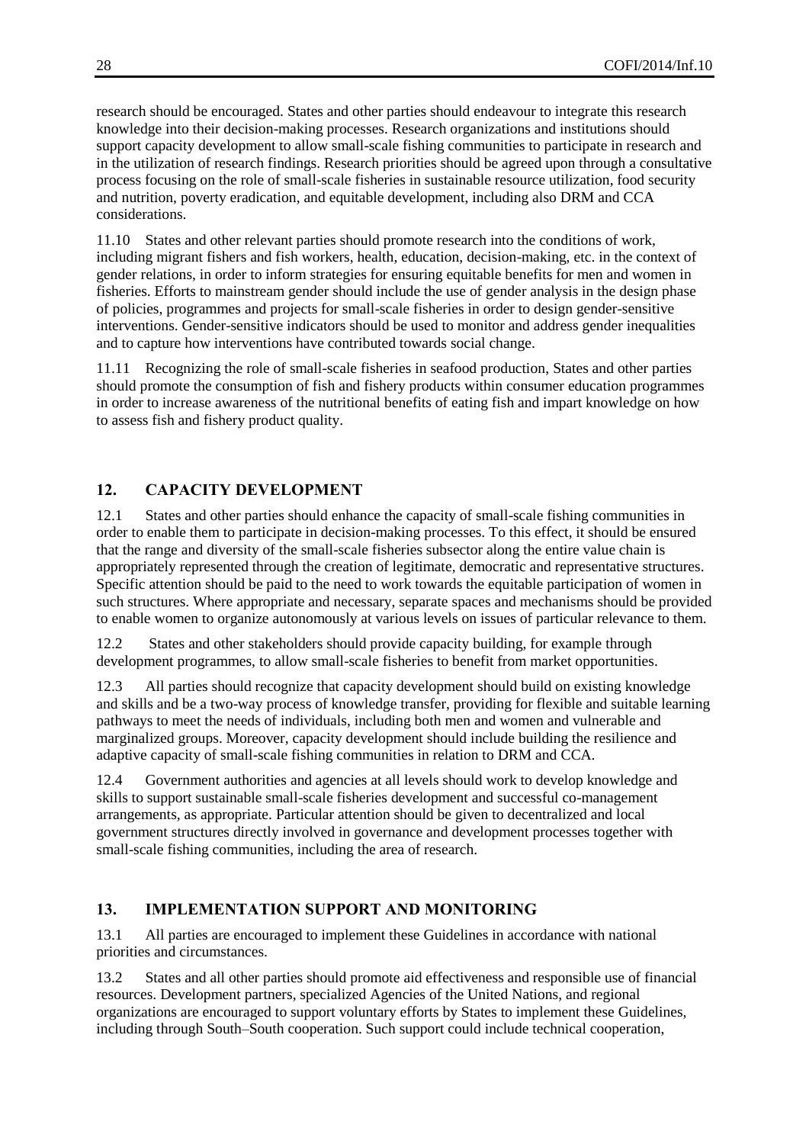research should be encouraged. States and other parties should endeavour to integrate this research knowledge into their decision-making processes. Research organizations and institutions should support capacity development to allow small-scale fishing communities to participate in research and in the utilization of research findings. Research priorities should be agreed upon through a consultative process focusing on the role of small-scale fisheries in sustainable resource utilization, food security and nutrition, poverty eradication, and equitable development, including also DRM and CCA considerations.

11.10 States and other relevant parties should promote research into the conditions of work, including migrant fishers and fish workers, health, education, decision-making, etc. in the context of gender relations, in order to inform strategies for ensuring equitable benefits for men and women in fisheries. Efforts to mainstream gender should include the use of gender analysis in the design phase of policies, programmes and projects for small-scale fisheries in order to design gender-sensitive interventions. Gender-sensitive indicators should be used to monitor and address gender inequalities and to capture how interventions have contributed towards social change.

11.11 Recognizing the role of small-scale fisheries in seafood production, States and other parties should promote the consumption of fish and fishery products within consumer education programmes in order to increase awareness of the nutritional benefits of eating fish and impart knowledge on how to assess fish and fishery product quality.

# <span id="page-27-0"></span>**12. CAPACITY DEVELOPMENT**

12.1 States and other parties should enhance the capacity of small-scale fishing communities in order to enable them to participate in decision-making processes. To this effect, it should be ensured that the range and diversity of the small-scale fisheries subsector along the entire value chain is appropriately represented through the creation of legitimate, democratic and representative structures. Specific attention should be paid to the need to work towards the equitable participation of women in such structures. Where appropriate and necessary, separate spaces and mechanisms should be provided to enable women to organize autonomously at various levels on issues of particular relevance to them.

12.2 States and other stakeholders should provide capacity building, for example through development programmes, to allow small-scale fisheries to benefit from market opportunities.

12.3 All parties should recognize that capacity development should build on existing knowledge and skills and be a two-way process of knowledge transfer, providing for flexible and suitable learning pathways to meet the needs of individuals, including both men and women and vulnerable and marginalized groups. Moreover, capacity development should include building the resilience and adaptive capacity of small-scale fishing communities in relation to DRM and CCA.

12.4 Government authorities and agencies at all levels should work to develop knowledge and skills to support sustainable small-scale fisheries development and successful co-management arrangements, as appropriate. Particular attention should be given to decentralized and local government structures directly involved in governance and development processes together with small-scale fishing communities, including the area of research.

### <span id="page-27-1"></span>**13. IMPLEMENTATION SUPPORT AND MONITORING**

13.1 All parties are encouraged to implement these Guidelines in accordance with national priorities and circumstances.

13.2 States and all other parties should promote aid effectiveness and responsible use of financial resources. Development partners, specialized Agencies of the United Nations, and regional organizations are encouraged to support voluntary efforts by States to implement these Guidelines, including through South–South cooperation. Such support could include technical cooperation,